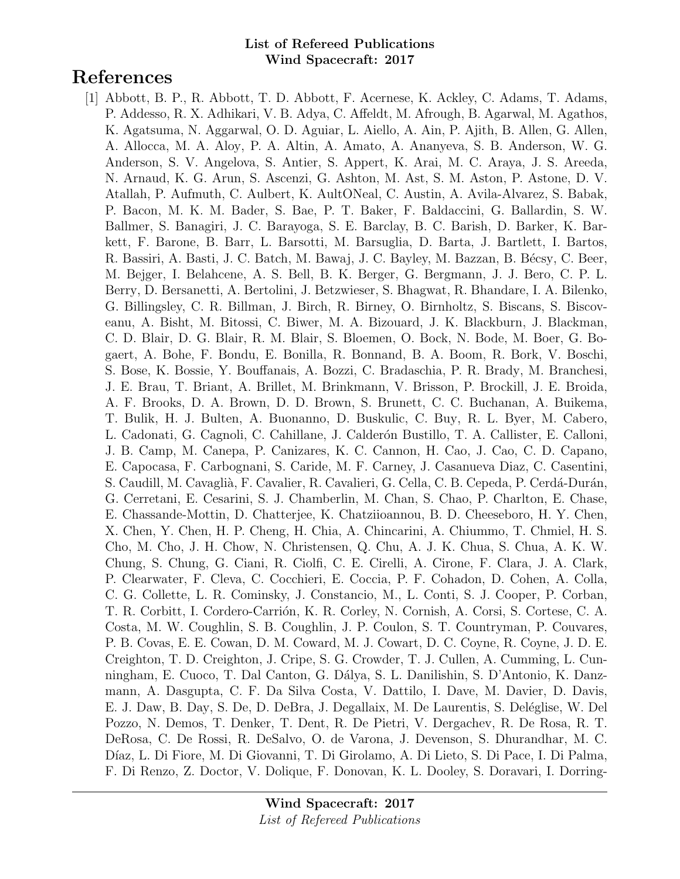# References

[1] Abbott, B. P., R. Abbott, T. D. Abbott, F. Acernese, K. Ackley, C. Adams, T. Adams, P. Addesso, R. X. Adhikari, V. B. Adya, C. Affeldt, M. Afrough, B. Agarwal, M. Agathos, K. Agatsuma, N. Aggarwal, O. D. Aguiar, L. Aiello, A. Ain, P. Ajith, B. Allen, G. Allen, A. Allocca, M. A. Aloy, P. A. Altin, A. Amato, A. Ananyeva, S. B. Anderson, W. G. Anderson, S. V. Angelova, S. Antier, S. Appert, K. Arai, M. C. Araya, J. S. Areeda, N. Arnaud, K. G. Arun, S. Ascenzi, G. Ashton, M. Ast, S. M. Aston, P. Astone, D. V. Atallah, P. Aufmuth, C. Aulbert, K. AultONeal, C. Austin, A. Avila-Alvarez, S. Babak, P. Bacon, M. K. M. Bader, S. Bae, P. T. Baker, F. Baldaccini, G. Ballardin, S. W. Ballmer, S. Banagiri, J. C. Barayoga, S. E. Barclay, B. C. Barish, D. Barker, K. Barkett, F. Barone, B. Barr, L. Barsotti, M. Barsuglia, D. Barta, J. Bartlett, I. Bartos, R. Bassiri, A. Basti, J. C. Batch, M. Bawaj, J. C. Bayley, M. Bazzan, B. Bécsy, C. Beer, M. Bejger, I. Belahcene, A. S. Bell, B. K. Berger, G. Bergmann, J. J. Bero, C. P. L. Berry, D. Bersanetti, A. Bertolini, J. Betzwieser, S. Bhagwat, R. Bhandare, I. A. Bilenko, G. Billingsley, C. R. Billman, J. Birch, R. Birney, O. Birnholtz, S. Biscans, S. Biscoveanu, A. Bisht, M. Bitossi, C. Biwer, M. A. Bizouard, J. K. Blackburn, J. Blackman, C. D. Blair, D. G. Blair, R. M. Blair, S. Bloemen, O. Bock, N. Bode, M. Boer, G. Bogaert, A. Bohe, F. Bondu, E. Bonilla, R. Bonnand, B. A. Boom, R. Bork, V. Boschi, S. Bose, K. Bossie, Y. Bouffanais, A. Bozzi, C. Bradaschia, P. R. Brady, M. Branchesi, J. E. Brau, T. Briant, A. Brillet, M. Brinkmann, V. Brisson, P. Brockill, J. E. Broida, A. F. Brooks, D. A. Brown, D. D. Brown, S. Brunett, C. C. Buchanan, A. Buikema, T. Bulik, H. J. Bulten, A. Buonanno, D. Buskulic, C. Buy, R. L. Byer, M. Cabero, L. Cadonati, G. Cagnoli, C. Cahillane, J. Calderón Bustillo, T. A. Callister, E. Calloni, J. B. Camp, M. Canepa, P. Canizares, K. C. Cannon, H. Cao, J. Cao, C. D. Capano, E. Capocasa, F. Carbognani, S. Caride, M. F. Carney, J. Casanueva Diaz, C. Casentini, S. Caudill, M. Cavaglià, F. Cavalier, R. Cavalieri, G. Cella, C. B. Cepeda, P. Cerdá-Durán, G. Cerretani, E. Cesarini, S. J. Chamberlin, M. Chan, S. Chao, P. Charlton, E. Chase, E. Chassande-Mottin, D. Chatterjee, K. Chatziioannou, B. D. Cheeseboro, H. Y. Chen, X. Chen, Y. Chen, H. P. Cheng, H. Chia, A. Chincarini, A. Chiummo, T. Chmiel, H. S. Cho, M. Cho, J. H. Chow, N. Christensen, Q. Chu, A. J. K. Chua, S. Chua, A. K. W. Chung, S. Chung, G. Ciani, R. Ciolfi, C. E. Cirelli, A. Cirone, F. Clara, J. A. Clark, P. Clearwater, F. Cleva, C. Cocchieri, E. Coccia, P. F. Cohadon, D. Cohen, A. Colla, C. G. Collette, L. R. Cominsky, J. Constancio, M., L. Conti, S. J. Cooper, P. Corban, T. R. Corbitt, I. Cordero-Carrión, K. R. Corley, N. Cornish, A. Corsi, S. Cortese, C. A. Costa, M. W. Coughlin, S. B. Coughlin, J. P. Coulon, S. T. Countryman, P. Couvares, P. B. Covas, E. E. Cowan, D. M. Coward, M. J. Cowart, D. C. Coyne, R. Coyne, J. D. E. Creighton, T. D. Creighton, J. Cripe, S. G. Crowder, T. J. Cullen, A. Cumming, L. Cunningham, E. Cuoco, T. Dal Canton, G. D´alya, S. L. Danilishin, S. D'Antonio, K. Danzmann, A. Dasgupta, C. F. Da Silva Costa, V. Dattilo, I. Dave, M. Davier, D. Davis, E. J. Daw, B. Day, S. De, D. DeBra, J. Degallaix, M. De Laurentis, S. Deléglise, W. Del Pozzo, N. Demos, T. Denker, T. Dent, R. De Pietri, V. Dergachev, R. De Rosa, R. T. DeRosa, C. De Rossi, R. DeSalvo, O. de Varona, J. Devenson, S. Dhurandhar, M. C. Díaz, L. Di Fiore, M. Di Giovanni, T. Di Girolamo, A. Di Lieto, S. Di Pace, I. Di Palma, F. Di Renzo, Z. Doctor, V. Dolique, F. Donovan, K. L. Dooley, S. Doravari, I. Dorring-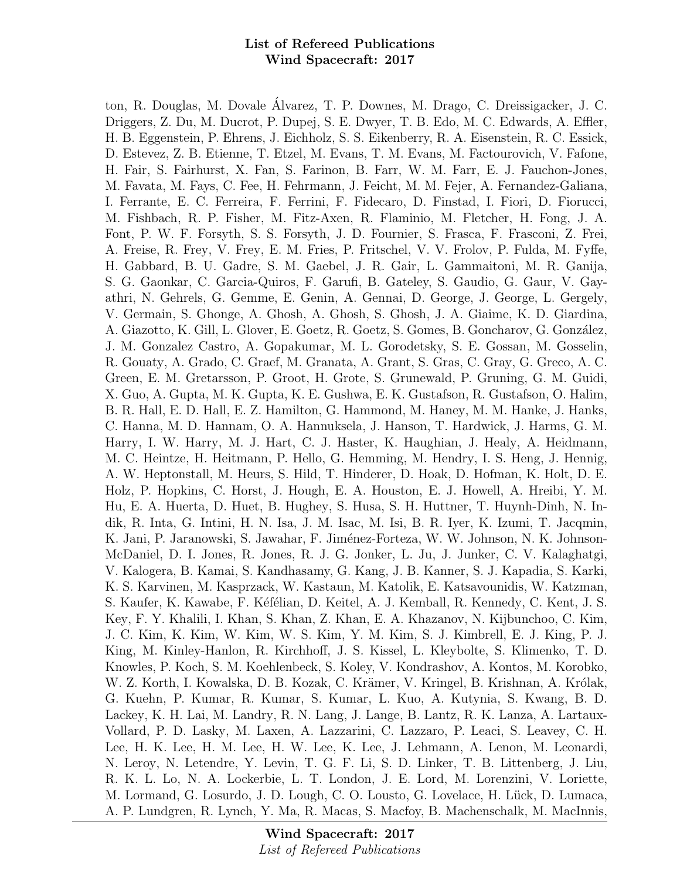ton, R. Douglas, M. Dovale Alvarez, T. P. Downes, M. Drago, C. Dreissigacker, J. C. ´ Driggers, Z. Du, M. Ducrot, P. Dupej, S. E. Dwyer, T. B. Edo, M. C. Edwards, A. Effler, H. B. Eggenstein, P. Ehrens, J. Eichholz, S. S. Eikenberry, R. A. Eisenstein, R. C. Essick, D. Estevez, Z. B. Etienne, T. Etzel, M. Evans, T. M. Evans, M. Factourovich, V. Fafone, H. Fair, S. Fairhurst, X. Fan, S. Farinon, B. Farr, W. M. Farr, E. J. Fauchon-Jones, M. Favata, M. Fays, C. Fee, H. Fehrmann, J. Feicht, M. M. Fejer, A. Fernandez-Galiana, I. Ferrante, E. C. Ferreira, F. Ferrini, F. Fidecaro, D. Finstad, I. Fiori, D. Fiorucci, M. Fishbach, R. P. Fisher, M. Fitz-Axen, R. Flaminio, M. Fletcher, H. Fong, J. A. Font, P. W. F. Forsyth, S. S. Forsyth, J. D. Fournier, S. Frasca, F. Frasconi, Z. Frei, A. Freise, R. Frey, V. Frey, E. M. Fries, P. Fritschel, V. V. Frolov, P. Fulda, M. Fyffe, H. Gabbard, B. U. Gadre, S. M. Gaebel, J. R. Gair, L. Gammaitoni, M. R. Ganija, S. G. Gaonkar, C. Garcia-Quiros, F. Garufi, B. Gateley, S. Gaudio, G. Gaur, V. Gayathri, N. Gehrels, G. Gemme, E. Genin, A. Gennai, D. George, J. George, L. Gergely, V. Germain, S. Ghonge, A. Ghosh, A. Ghosh, S. Ghosh, J. A. Giaime, K. D. Giardina, A. Giazotto, K. Gill, L. Glover, E. Goetz, R. Goetz, S. Gomes, B. Goncharov, G. González, J. M. Gonzalez Castro, A. Gopakumar, M. L. Gorodetsky, S. E. Gossan, M. Gosselin, R. Gouaty, A. Grado, C. Graef, M. Granata, A. Grant, S. Gras, C. Gray, G. Greco, A. C. Green, E. M. Gretarsson, P. Groot, H. Grote, S. Grunewald, P. Gruning, G. M. Guidi, X. Guo, A. Gupta, M. K. Gupta, K. E. Gushwa, E. K. Gustafson, R. Gustafson, O. Halim, B. R. Hall, E. D. Hall, E. Z. Hamilton, G. Hammond, M. Haney, M. M. Hanke, J. Hanks, C. Hanna, M. D. Hannam, O. A. Hannuksela, J. Hanson, T. Hardwick, J. Harms, G. M. Harry, I. W. Harry, M. J. Hart, C. J. Haster, K. Haughian, J. Healy, A. Heidmann, M. C. Heintze, H. Heitmann, P. Hello, G. Hemming, M. Hendry, I. S. Heng, J. Hennig, A. W. Heptonstall, M. Heurs, S. Hild, T. Hinderer, D. Hoak, D. Hofman, K. Holt, D. E. Holz, P. Hopkins, C. Horst, J. Hough, E. A. Houston, E. J. Howell, A. Hreibi, Y. M. Hu, E. A. Huerta, D. Huet, B. Hughey, S. Husa, S. H. Huttner, T. Huynh-Dinh, N. Indik, R. Inta, G. Intini, H. N. Isa, J. M. Isac, M. Isi, B. R. Iyer, K. Izumi, T. Jacqmin, K. Jani, P. Jaranowski, S. Jawahar, F. Jiménez-Forteza, W. W. Johnson, N. K. Johnson-McDaniel, D. I. Jones, R. Jones, R. J. G. Jonker, L. Ju, J. Junker, C. V. Kalaghatgi, V. Kalogera, B. Kamai, S. Kandhasamy, G. Kang, J. B. Kanner, S. J. Kapadia, S. Karki, K. S. Karvinen, M. Kasprzack, W. Kastaun, M. Katolik, E. Katsavounidis, W. Katzman, S. Kaufer, K. Kawabe, F. Kéfélian, D. Keitel, A. J. Kemball, R. Kennedy, C. Kent, J. S. Key, F. Y. Khalili, I. Khan, S. Khan, Z. Khan, E. A. Khazanov, N. Kijbunchoo, C. Kim, J. C. Kim, K. Kim, W. Kim, W. S. Kim, Y. M. Kim, S. J. Kimbrell, E. J. King, P. J. King, M. Kinley-Hanlon, R. Kirchhoff, J. S. Kissel, L. Kleybolte, S. Klimenko, T. D. Knowles, P. Koch, S. M. Koehlenbeck, S. Koley, V. Kondrashov, A. Kontos, M. Korobko, W. Z. Korth, I. Kowalska, D. B. Kozak, C. Krämer, V. Kringel, B. Krishnan, A. Królak, G. Kuehn, P. Kumar, R. Kumar, S. Kumar, L. Kuo, A. Kutynia, S. Kwang, B. D. Lackey, K. H. Lai, M. Landry, R. N. Lang, J. Lange, B. Lantz, R. K. Lanza, A. Lartaux-Vollard, P. D. Lasky, M. Laxen, A. Lazzarini, C. Lazzaro, P. Leaci, S. Leavey, C. H. Lee, H. K. Lee, H. M. Lee, H. W. Lee, K. Lee, J. Lehmann, A. Lenon, M. Leonardi, N. Leroy, N. Letendre, Y. Levin, T. G. F. Li, S. D. Linker, T. B. Littenberg, J. Liu, R. K. L. Lo, N. A. Lockerbie, L. T. London, J. E. Lord, M. Lorenzini, V. Loriette, M. Lormand, G. Losurdo, J. D. Lough, C. O. Lousto, G. Lovelace, H. Lück, D. Lumaca, A. P. Lundgren, R. Lynch, Y. Ma, R. Macas, S. Macfoy, B. Machenschalk, M. MacInnis,

> Wind Spacecraft: 2017 List of Refereed Publications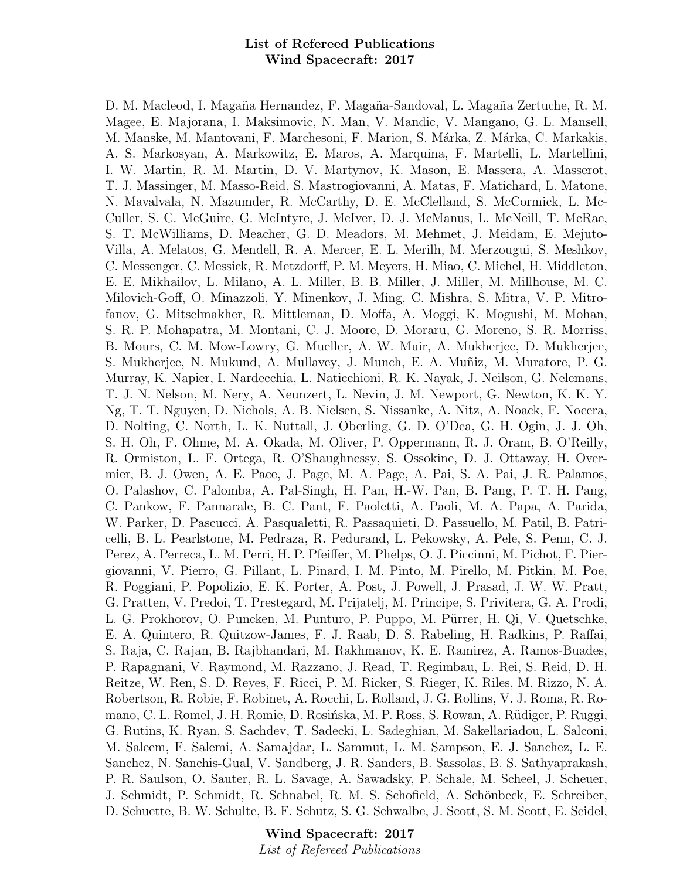D. M. Macleod, I. Magaña Hernandez, F. Magaña-Sandoval, L. Magaña Zertuche, R. M. Magee, E. Majorana, I. Maksimovic, N. Man, V. Mandic, V. Mangano, G. L. Mansell, M. Manske, M. Mantovani, F. Marchesoni, F. Marion, S. Márka, Z. Márka, C. Markakis, A. S. Markosyan, A. Markowitz, E. Maros, A. Marquina, F. Martelli, L. Martellini, I. W. Martin, R. M. Martin, D. V. Martynov, K. Mason, E. Massera, A. Masserot, T. J. Massinger, M. Masso-Reid, S. Mastrogiovanni, A. Matas, F. Matichard, L. Matone, N. Mavalvala, N. Mazumder, R. McCarthy, D. E. McClelland, S. McCormick, L. Mc-Culler, S. C. McGuire, G. McIntyre, J. McIver, D. J. McManus, L. McNeill, T. McRae, S. T. McWilliams, D. Meacher, G. D. Meadors, M. Mehmet, J. Meidam, E. Mejuto-Villa, A. Melatos, G. Mendell, R. A. Mercer, E. L. Merilh, M. Merzougui, S. Meshkov, C. Messenger, C. Messick, R. Metzdorff, P. M. Meyers, H. Miao, C. Michel, H. Middleton, E. E. Mikhailov, L. Milano, A. L. Miller, B. B. Miller, J. Miller, M. Millhouse, M. C. Milovich-Goff, O. Minazzoli, Y. Minenkov, J. Ming, C. Mishra, S. Mitra, V. P. Mitrofanov, G. Mitselmakher, R. Mittleman, D. Moffa, A. Moggi, K. Mogushi, M. Mohan, S. R. P. Mohapatra, M. Montani, C. J. Moore, D. Moraru, G. Moreno, S. R. Morriss, B. Mours, C. M. Mow-Lowry, G. Mueller, A. W. Muir, A. Mukherjee, D. Mukherjee, S. Mukherjee, N. Mukund, A. Mullavey, J. Munch, E. A. Muñiz, M. Muratore, P. G. Murray, K. Napier, I. Nardecchia, L. Naticchioni, R. K. Nayak, J. Neilson, G. Nelemans, T. J. N. Nelson, M. Nery, A. Neunzert, L. Nevin, J. M. Newport, G. Newton, K. K. Y. Ng, T. T. Nguyen, D. Nichols, A. B. Nielsen, S. Nissanke, A. Nitz, A. Noack, F. Nocera, D. Nolting, C. North, L. K. Nuttall, J. Oberling, G. D. O'Dea, G. H. Ogin, J. J. Oh, S. H. Oh, F. Ohme, M. A. Okada, M. Oliver, P. Oppermann, R. J. Oram, B. O'Reilly, R. Ormiston, L. F. Ortega, R. O'Shaughnessy, S. Ossokine, D. J. Ottaway, H. Overmier, B. J. Owen, A. E. Pace, J. Page, M. A. Page, A. Pai, S. A. Pai, J. R. Palamos, O. Palashov, C. Palomba, A. Pal-Singh, H. Pan, H.-W. Pan, B. Pang, P. T. H. Pang, C. Pankow, F. Pannarale, B. C. Pant, F. Paoletti, A. Paoli, M. A. Papa, A. Parida, W. Parker, D. Pascucci, A. Pasqualetti, R. Passaquieti, D. Passuello, M. Patil, B. Patricelli, B. L. Pearlstone, M. Pedraza, R. Pedurand, L. Pekowsky, A. Pele, S. Penn, C. J. Perez, A. Perreca, L. M. Perri, H. P. Pfeiffer, M. Phelps, O. J. Piccinni, M. Pichot, F. Piergiovanni, V. Pierro, G. Pillant, L. Pinard, I. M. Pinto, M. Pirello, M. Pitkin, M. Poe, R. Poggiani, P. Popolizio, E. K. Porter, A. Post, J. Powell, J. Prasad, J. W. W. Pratt, G. Pratten, V. Predoi, T. Prestegard, M. Prijatelj, M. Principe, S. Privitera, G. A. Prodi, L. G. Prokhorov, O. Puncken, M. Punturo, P. Puppo, M. Pürrer, H. Qi, V. Quetschke, E. A. Quintero, R. Quitzow-James, F. J. Raab, D. S. Rabeling, H. Radkins, P. Raffai, S. Raja, C. Rajan, B. Rajbhandari, M. Rakhmanov, K. E. Ramirez, A. Ramos-Buades, P. Rapagnani, V. Raymond, M. Razzano, J. Read, T. Regimbau, L. Rei, S. Reid, D. H. Reitze, W. Ren, S. D. Reyes, F. Ricci, P. M. Ricker, S. Rieger, K. Riles, M. Rizzo, N. A. Robertson, R. Robie, F. Robinet, A. Rocchi, L. Rolland, J. G. Rollins, V. J. Roma, R. Romano, C. L. Romel, J. H. Romie, D. Rosińska, M. P. Ross, S. Rowan, A. Rüdiger, P. Ruggi, G. Rutins, K. Ryan, S. Sachdev, T. Sadecki, L. Sadeghian, M. Sakellariadou, L. Salconi, M. Saleem, F. Salemi, A. Samajdar, L. Sammut, L. M. Sampson, E. J. Sanchez, L. E. Sanchez, N. Sanchis-Gual, V. Sandberg, J. R. Sanders, B. Sassolas, B. S. Sathyaprakash, P. R. Saulson, O. Sauter, R. L. Savage, A. Sawadsky, P. Schale, M. Scheel, J. Scheuer, J. Schmidt, P. Schmidt, R. Schnabel, R. M. S. Schofield, A. Schönbeck, E. Schreiber, D. Schuette, B. W. Schulte, B. F. Schutz, S. G. Schwalbe, J. Scott, S. M. Scott, E. Seidel,

> Wind Spacecraft: 2017 List of Refereed Publications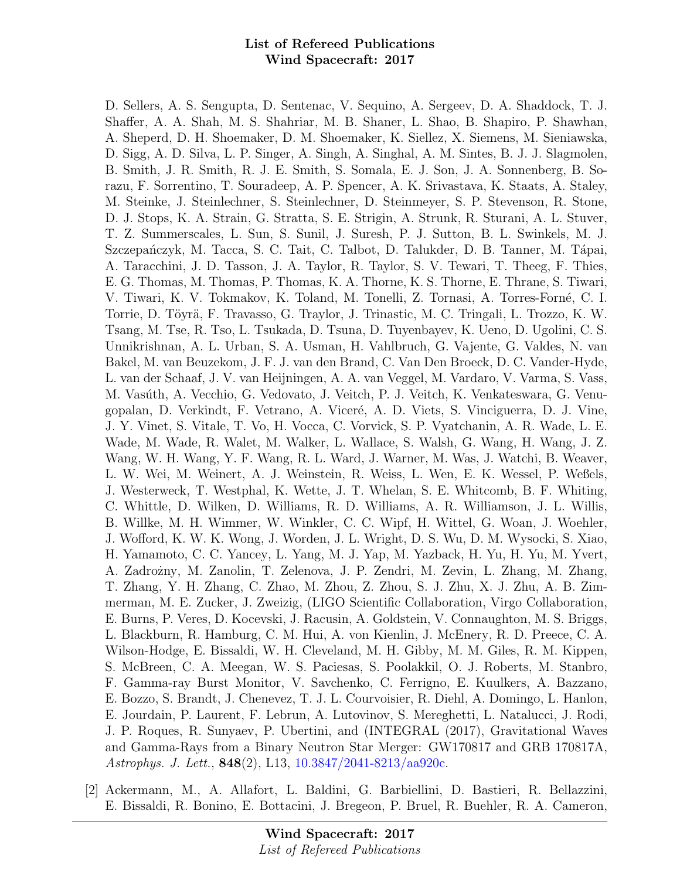D. Sellers, A. S. Sengupta, D. Sentenac, V. Sequino, A. Sergeev, D. A. Shaddock, T. J. Shaffer, A. A. Shah, M. S. Shahriar, M. B. Shaner, L. Shao, B. Shapiro, P. Shawhan, A. Sheperd, D. H. Shoemaker, D. M. Shoemaker, K. Siellez, X. Siemens, M. Sieniawska, D. Sigg, A. D. Silva, L. P. Singer, A. Singh, A. Singhal, A. M. Sintes, B. J. J. Slagmolen, B. Smith, J. R. Smith, R. J. E. Smith, S. Somala, E. J. Son, J. A. Sonnenberg, B. Sorazu, F. Sorrentino, T. Souradeep, A. P. Spencer, A. K. Srivastava, K. Staats, A. Staley, M. Steinke, J. Steinlechner, S. Steinlechner, D. Steinmeyer, S. P. Stevenson, R. Stone, D. J. Stops, K. A. Strain, G. Stratta, S. E. Strigin, A. Strunk, R. Sturani, A. L. Stuver, T. Z. Summerscales, L. Sun, S. Sunil, J. Suresh, P. J. Sutton, B. L. Swinkels, M. J. Szczepańczyk, M. Tacca, S. C. Tait, C. Talbot, D. Talukder, D. B. Tanner, M. Tápai, A. Taracchini, J. D. Tasson, J. A. Taylor, R. Taylor, S. V. Tewari, T. Theeg, F. Thies, E. G. Thomas, M. Thomas, P. Thomas, K. A. Thorne, K. S. Thorne, E. Thrane, S. Tiwari, V. Tiwari, K. V. Tokmakov, K. Toland, M. Tonelli, Z. Tornasi, A. Torres-Forn´e, C. I. Torrie, D. Töyrä, F. Travasso, G. Traylor, J. Trinastic, M. C. Tringali, L. Trozzo, K. W. Tsang, M. Tse, R. Tso, L. Tsukada, D. Tsuna, D. Tuyenbayev, K. Ueno, D. Ugolini, C. S. Unnikrishnan, A. L. Urban, S. A. Usman, H. Vahlbruch, G. Vajente, G. Valdes, N. van Bakel, M. van Beuzekom, J. F. J. van den Brand, C. Van Den Broeck, D. C. Vander-Hyde, L. van der Schaaf, J. V. van Heijningen, A. A. van Veggel, M. Vardaro, V. Varma, S. Vass, M. Vasúth, A. Vecchio, G. Vedovato, J. Veitch, P. J. Veitch, K. Venkateswara, G. Venugopalan, D. Verkindt, F. Vetrano, A. Viceré, A. D. Viets, S. Vinciguerra, D. J. Vine, J. Y. Vinet, S. Vitale, T. Vo, H. Vocca, C. Vorvick, S. P. Vyatchanin, A. R. Wade, L. E. Wade, M. Wade, R. Walet, M. Walker, L. Wallace, S. Walsh, G. Wang, H. Wang, J. Z. Wang, W. H. Wang, Y. F. Wang, R. L. Ward, J. Warner, M. Was, J. Watchi, B. Weaver, L. W. Wei, M. Weinert, A. J. Weinstein, R. Weiss, L. Wen, E. K. Wessel, P. Weßels, J. Westerweck, T. Westphal, K. Wette, J. T. Whelan, S. E. Whitcomb, B. F. Whiting, C. Whittle, D. Wilken, D. Williams, R. D. Williams, A. R. Williamson, J. L. Willis, B. Willke, M. H. Wimmer, W. Winkler, C. C. Wipf, H. Wittel, G. Woan, J. Woehler, J. Wofford, K. W. K. Wong, J. Worden, J. L. Wright, D. S. Wu, D. M. Wysocki, S. Xiao, H. Yamamoto, C. C. Yancey, L. Yang, M. J. Yap, M. Yazback, H. Yu, H. Yu, M. Yvert, A. Zadrożny, M. Zanolin, T. Zelenova, J. P. Zendri, M. Zevin, L. Zhang, M. Zhang, T. Zhang, Y. H. Zhang, C. Zhao, M. Zhou, Z. Zhou, S. J. Zhu, X. J. Zhu, A. B. Zimmerman, M. E. Zucker, J. Zweizig, (LIGO Scientific Collaboration, Virgo Collaboration, E. Burns, P. Veres, D. Kocevski, J. Racusin, A. Goldstein, V. Connaughton, M. S. Briggs, L. Blackburn, R. Hamburg, C. M. Hui, A. von Kienlin, J. McEnery, R. D. Preece, C. A. Wilson-Hodge, E. Bissaldi, W. H. Cleveland, M. H. Gibby, M. M. Giles, R. M. Kippen, S. McBreen, C. A. Meegan, W. S. Paciesas, S. Poolakkil, O. J. Roberts, M. Stanbro, F. Gamma-ray Burst Monitor, V. Savchenko, C. Ferrigno, E. Kuulkers, A. Bazzano, E. Bozzo, S. Brandt, J. Chenevez, T. J. L. Courvoisier, R. Diehl, A. Domingo, L. Hanlon, E. Jourdain, P. Laurent, F. Lebrun, A. Lutovinov, S. Mereghetti, L. Natalucci, J. Rodi, J. P. Roques, R. Sunyaev, P. Ubertini, and (INTEGRAL (2017), Gravitational Waves and Gamma-Rays from a Binary Neutron Star Merger: GW170817 and GRB 170817A, Astrophys. J. Lett., 848(2), L13, [10.3847/2041-8213/aa920c.](http://dx.doi.org/10.3847/2041-8213/aa920c)

[2] Ackermann, M., A. Allafort, L. Baldini, G. Barbiellini, D. Bastieri, R. Bellazzini, E. Bissaldi, R. Bonino, E. Bottacini, J. Bregeon, P. Bruel, R. Buehler, R. A. Cameron,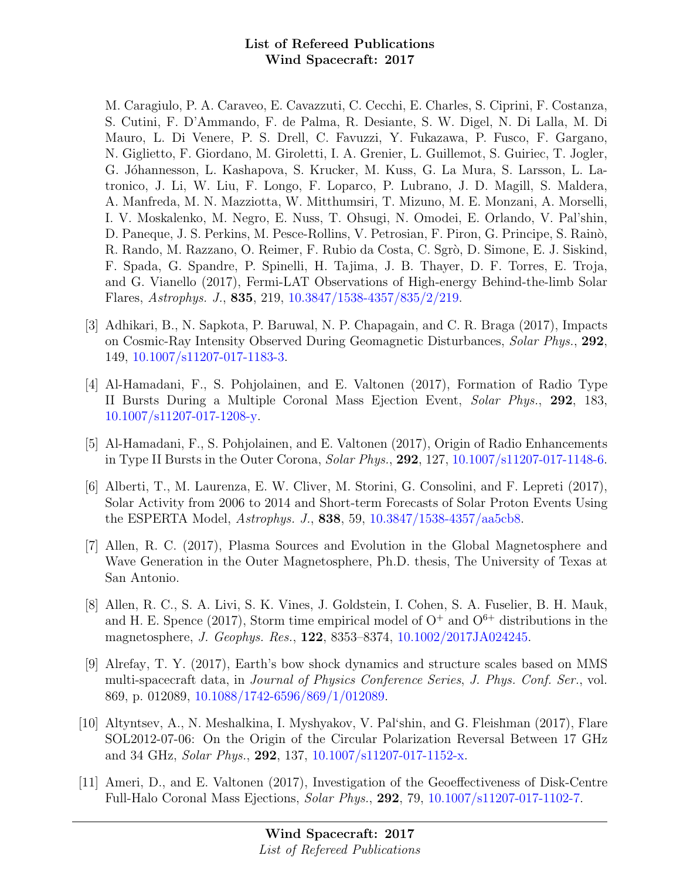M. Caragiulo, P. A. Caraveo, E. Cavazzuti, C. Cecchi, E. Charles, S. Ciprini, F. Costanza, S. Cutini, F. D'Ammando, F. de Palma, R. Desiante, S. W. Digel, N. Di Lalla, M. Di Mauro, L. Di Venere, P. S. Drell, C. Favuzzi, Y. Fukazawa, P. Fusco, F. Gargano, N. Giglietto, F. Giordano, M. Giroletti, I. A. Grenier, L. Guillemot, S. Guiriec, T. Jogler, G. Jóhannesson, L. Kashapova, S. Krucker, M. Kuss, G. La Mura, S. Larsson, L. Latronico, J. Li, W. Liu, F. Longo, F. Loparco, P. Lubrano, J. D. Magill, S. Maldera, A. Manfreda, M. N. Mazziotta, W. Mitthumsiri, T. Mizuno, M. E. Monzani, A. Morselli, I. V. Moskalenko, M. Negro, E. Nuss, T. Ohsugi, N. Omodei, E. Orlando, V. Pal'shin, D. Paneque, J. S. Perkins, M. Pesce-Rollins, V. Petrosian, F. Piron, G. Principe, S. Rain`o, R. Rando, M. Razzano, O. Reimer, F. Rubio da Costa, C. Sgrò, D. Simone, E. J. Siskind, F. Spada, G. Spandre, P. Spinelli, H. Tajima, J. B. Thayer, D. F. Torres, E. Troja, and G. Vianello (2017), Fermi-LAT Observations of High-energy Behind-the-limb Solar Flares, Astrophys. J., 835, 219, [10.3847/1538-4357/835/2/219.](http://dx.doi.org/10.3847/1538-4357/835/2/219)

- [3] Adhikari, B., N. Sapkota, P. Baruwal, N. P. Chapagain, and C. R. Braga (2017), Impacts on Cosmic-Ray Intensity Observed During Geomagnetic Disturbances, Solar Phys., 292, 149, [10.1007/s11207-017-1183-3.](http://dx.doi.org/10.1007/s11207-017-1183-3)
- [4] Al-Hamadani, F., S. Pohjolainen, and E. Valtonen (2017), Formation of Radio Type II Bursts During a Multiple Coronal Mass Ejection Event, Solar Phys., 292, 183, [10.1007/s11207-017-1208-y.](http://dx.doi.org/10.1007/s11207-017-1208-y)
- [5] Al-Hamadani, F., S. Pohjolainen, and E. Valtonen (2017), Origin of Radio Enhancements in Type II Bursts in the Outer Corona, Solar Phys., 292, 127, [10.1007/s11207-017-1148-6.](http://dx.doi.org/10.1007/s11207-017-1148-6)
- [6] Alberti, T., M. Laurenza, E. W. Cliver, M. Storini, G. Consolini, and F. Lepreti (2017), Solar Activity from 2006 to 2014 and Short-term Forecasts of Solar Proton Events Using the ESPERTA Model, Astrophys. J., 838, 59, [10.3847/1538-4357/aa5cb8.](http://dx.doi.org/10.3847/1538-4357/aa5cb8)
- [7] Allen, R. C. (2017), Plasma Sources and Evolution in the Global Magnetosphere and Wave Generation in the Outer Magnetosphere, Ph.D. thesis, The University of Texas at San Antonio.
- [8] Allen, R. C., S. A. Livi, S. K. Vines, J. Goldstein, I. Cohen, S. A. Fuselier, B. H. Mauk, and H. E. Spence (2017), Storm time empirical model of  $O^+$  and  $O^{6+}$  distributions in the magnetosphere, J. Geophys. Res., 122, 8353–8374, [10.1002/2017JA024245.](http://dx.doi.org/10.1002/2017JA024245)
- [9] Alrefay, T. Y. (2017), Earth's bow shock dynamics and structure scales based on MMS multi-spacecraft data, in Journal of Physics Conference Series, J. Phys. Conf. Ser., vol. 869, p. 012089, [10.1088/1742-6596/869/1/012089.](http://dx.doi.org/10.1088/1742-6596/869/1/012089)
- [10] Altyntsev, A., N. Meshalkina, I. Myshyakov, V. Pal'shin, and G. Fleishman (2017), Flare SOL2012-07-06: On the Origin of the Circular Polarization Reversal Between 17 GHz and 34 GHz, Solar Phys., 292, 137, [10.1007/s11207-017-1152-x.](http://dx.doi.org/10.1007/s11207-017-1152-x)
- [11] Ameri, D., and E. Valtonen (2017), Investigation of the Geoeffectiveness of Disk-Centre Full-Halo Coronal Mass Ejections, Solar Phys., 292, 79, [10.1007/s11207-017-1102-7.](http://dx.doi.org/10.1007/s11207-017-1102-7)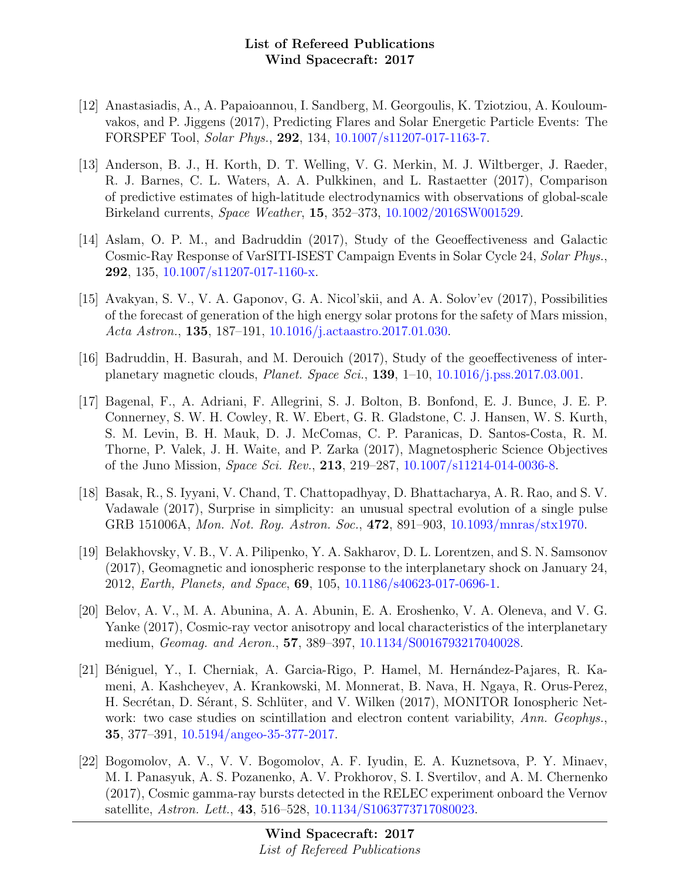- [12] Anastasiadis, A., A. Papaioannou, I. Sandberg, M. Georgoulis, K. Tziotziou, A. Kouloumvakos, and P. Jiggens (2017), Predicting Flares and Solar Energetic Particle Events: The FORSPEF Tool, Solar Phys., 292, 134, [10.1007/s11207-017-1163-7.](http://dx.doi.org/10.1007/s11207-017-1163-7)
- [13] Anderson, B. J., H. Korth, D. T. Welling, V. G. Merkin, M. J. Wiltberger, J. Raeder, R. J. Barnes, C. L. Waters, A. A. Pulkkinen, and L. Rastaetter (2017), Comparison of predictive estimates of high-latitude electrodynamics with observations of global-scale Birkeland currents, Space Weather, 15, 352–373, [10.1002/2016SW001529.](http://dx.doi.org/10.1002/2016SW001529)
- [14] Aslam, O. P. M., and Badruddin (2017), Study of the Geoeffectiveness and Galactic Cosmic-Ray Response of VarSITI-ISEST Campaign Events in Solar Cycle 24, Solar Phys., 292, 135, [10.1007/s11207-017-1160-x.](http://dx.doi.org/10.1007/s11207-017-1160-x)
- [15] Avakyan, S. V., V. A. Gaponov, G. A. Nicol'skii, and A. A. Solov'ev (2017), Possibilities of the forecast of generation of the high energy solar protons for the safety of Mars mission, Acta Astron., 135, 187–191, [10.1016/j.actaastro.2017.01.030.](http://dx.doi.org/10.1016/j.actaastro.2017.01.030)
- [16] Badruddin, H. Basurah, and M. Derouich (2017), Study of the geoeffectiveness of interplanetary magnetic clouds, Planet. Space Sci., 139, 1–10, [10.1016/j.pss.2017.03.001.](http://dx.doi.org/10.1016/j.pss.2017.03.001)
- [17] Bagenal, F., A. Adriani, F. Allegrini, S. J. Bolton, B. Bonfond, E. J. Bunce, J. E. P. Connerney, S. W. H. Cowley, R. W. Ebert, G. R. Gladstone, C. J. Hansen, W. S. Kurth, S. M. Levin, B. H. Mauk, D. J. McComas, C. P. Paranicas, D. Santos-Costa, R. M. Thorne, P. Valek, J. H. Waite, and P. Zarka (2017), Magnetospheric Science Objectives of the Juno Mission, Space Sci. Rev., 213, 219–287, [10.1007/s11214-014-0036-8.](http://dx.doi.org/10.1007/s11214-014-0036-8)
- [18] Basak, R., S. Iyyani, V. Chand, T. Chattopadhyay, D. Bhattacharya, A. R. Rao, and S. V. Vadawale (2017), Surprise in simplicity: an unusual spectral evolution of a single pulse GRB 151006A, Mon. Not. Roy. Astron. Soc., 472, 891–903, [10.1093/mnras/stx1970.](http://dx.doi.org/10.1093/mnras/stx1970)
- [19] Belakhovsky, V. B., V. A. Pilipenko, Y. A. Sakharov, D. L. Lorentzen, and S. N. Samsonov (2017), Geomagnetic and ionospheric response to the interplanetary shock on January 24, 2012, Earth, Planets, and Space, 69, 105, [10.1186/s40623-017-0696-1.](http://dx.doi.org/10.1186/s40623-017-0696-1)
- [20] Belov, A. V., M. A. Abunina, A. A. Abunin, E. A. Eroshenko, V. A. Oleneva, and V. G. Yanke (2017), Cosmic-ray vector anisotropy and local characteristics of the interplanetary medium, Geomag. and Aeron., 57, 389–397, [10.1134/S0016793217040028.](http://dx.doi.org/10.1134/S0016793217040028)
- [21] Béniguel, Y., I. Cherniak, A. Garcia-Rigo, P. Hamel, M. Hernández-Pajares, R. Kameni, A. Kashcheyev, A. Krankowski, M. Monnerat, B. Nava, H. Ngaya, R. Orus-Perez, H. Secrétan, D. Sérant, S. Schlüter, and V. Wilken (2017), MONITOR Ionospheric Network: two case studies on scintillation and electron content variability, Ann. Geophys., 35, 377–391, [10.5194/angeo-35-377-2017.](http://dx.doi.org/10.5194/angeo-35-377-2017)
- [22] Bogomolov, A. V., V. V. Bogomolov, A. F. Iyudin, E. A. Kuznetsova, P. Y. Minaev, M. I. Panasyuk, A. S. Pozanenko, A. V. Prokhorov, S. I. Svertilov, and A. M. Chernenko (2017), Cosmic gamma-ray bursts detected in the RELEC experiment onboard the Vernov satellite, Astron. Lett., 43, 516–528, [10.1134/S1063773717080023.](http://dx.doi.org/10.1134/S1063773717080023)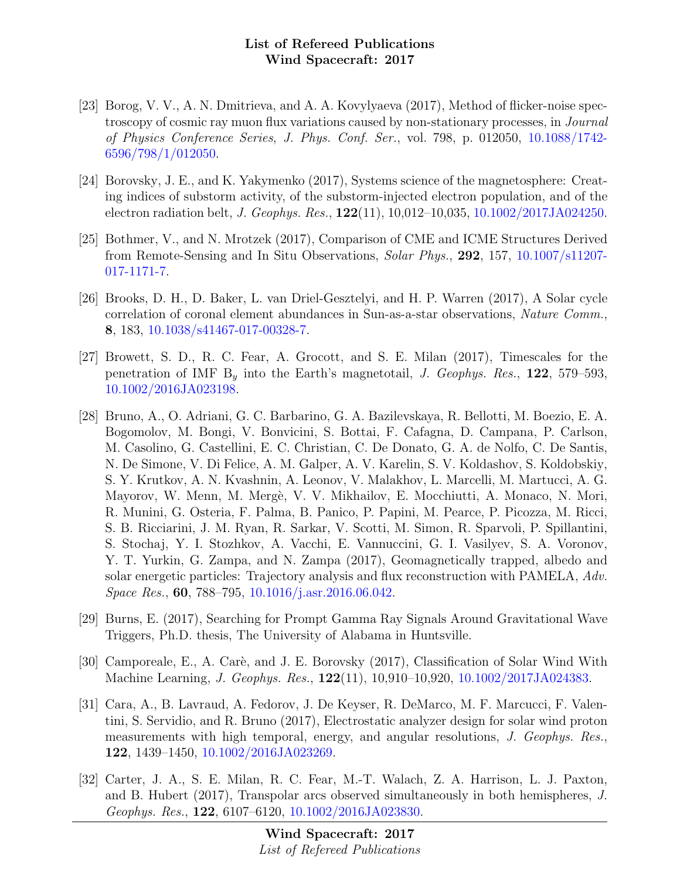- [23] Borog, V. V., A. N. Dmitrieva, and A. A. Kovylyaeva (2017), Method of flicker-noise spectroscopy of cosmic ray muon flux variations caused by non-stationary processes, in Journal of Physics Conference Series, J. Phys. Conf. Ser., vol. 798, p. 012050, [10.1088/1742-](http://dx.doi.org/10.1088/1742-6596/798/1/012050) [6596/798/1/012050.](http://dx.doi.org/10.1088/1742-6596/798/1/012050)
- [24] Borovsky, J. E., and K. Yakymenko (2017), Systems science of the magnetosphere: Creating indices of substorm activity, of the substorm-injected electron population, and of the electron radiation belt, J. Geophys. Res., 122(11), 10,012–10,035, [10.1002/2017JA024250.](http://dx.doi.org/10.1002/2017JA024250)
- [25] Bothmer, V., and N. Mrotzek (2017), Comparison of CME and ICME Structures Derived from Remote-Sensing and In Situ Observations, Solar Phys., 292, 157, [10.1007/s11207-](http://dx.doi.org/10.1007/s11207-017-1171-7) [017-1171-7.](http://dx.doi.org/10.1007/s11207-017-1171-7)
- [26] Brooks, D. H., D. Baker, L. van Driel-Gesztelyi, and H. P. Warren (2017), A Solar cycle correlation of coronal element abundances in Sun-as-a-star observations, Nature Comm., 8, 183, [10.1038/s41467-017-00328-7.](http://dx.doi.org/10.1038/s41467-017-00328-7)
- [27] Browett, S. D., R. C. Fear, A. Grocott, and S. E. Milan (2017), Timescales for the penetration of IMF  $B<sub>y</sub>$  into the Earth's magnetotail, J. Geophys. Res., 122, 579–593, [10.1002/2016JA023198.](http://dx.doi.org/10.1002/2016JA023198)
- [28] Bruno, A., O. Adriani, G. C. Barbarino, G. A. Bazilevskaya, R. Bellotti, M. Boezio, E. A. Bogomolov, M. Bongi, V. Bonvicini, S. Bottai, F. Cafagna, D. Campana, P. Carlson, M. Casolino, G. Castellini, E. C. Christian, C. De Donato, G. A. de Nolfo, C. De Santis, N. De Simone, V. Di Felice, A. M. Galper, A. V. Karelin, S. V. Koldashov, S. Koldobskiy, S. Y. Krutkov, A. N. Kvashnin, A. Leonov, V. Malakhov, L. Marcelli, M. Martucci, A. G. Mayorov, W. Menn, M. Merg`e, V. V. Mikhailov, E. Mocchiutti, A. Monaco, N. Mori, R. Munini, G. Osteria, F. Palma, B. Panico, P. Papini, M. Pearce, P. Picozza, M. Ricci, S. B. Ricciarini, J. M. Ryan, R. Sarkar, V. Scotti, M. Simon, R. Sparvoli, P. Spillantini, S. Stochaj, Y. I. Stozhkov, A. Vacchi, E. Vannuccini, G. I. Vasilyev, S. A. Voronov, Y. T. Yurkin, G. Zampa, and N. Zampa (2017), Geomagnetically trapped, albedo and solar energetic particles: Trajectory analysis and flux reconstruction with PAMELA, Adv. Space Res., 60, 788–795, [10.1016/j.asr.2016.06.042.](http://dx.doi.org/10.1016/j.asr.2016.06.042)
- [29] Burns, E. (2017), Searching for Prompt Gamma Ray Signals Around Gravitational Wave Triggers, Ph.D. thesis, The University of Alabama in Huntsville.
- [30] Camporeale, E., A. Carè, and J. E. Borovsky (2017), Classification of Solar Wind With Machine Learning, J. Geophys. Res., 122(11), 10,910–10,920, [10.1002/2017JA024383.](http://dx.doi.org/10.1002/2017JA024383)
- [31] Cara, A., B. Lavraud, A. Fedorov, J. De Keyser, R. DeMarco, M. F. Marcucci, F. Valentini, S. Servidio, and R. Bruno (2017), Electrostatic analyzer design for solar wind proton measurements with high temporal, energy, and angular resolutions, J. Geophys. Res., 122, 1439–1450, [10.1002/2016JA023269.](http://dx.doi.org/10.1002/2016JA023269)
- [32] Carter, J. A., S. E. Milan, R. C. Fear, M.-T. Walach, Z. A. Harrison, L. J. Paxton, and B. Hubert (2017), Transpolar arcs observed simultaneously in both hemispheres, J. Geophys. Res., 122, 6107–6120, [10.1002/2016JA023830.](http://dx.doi.org/10.1002/2016JA023830)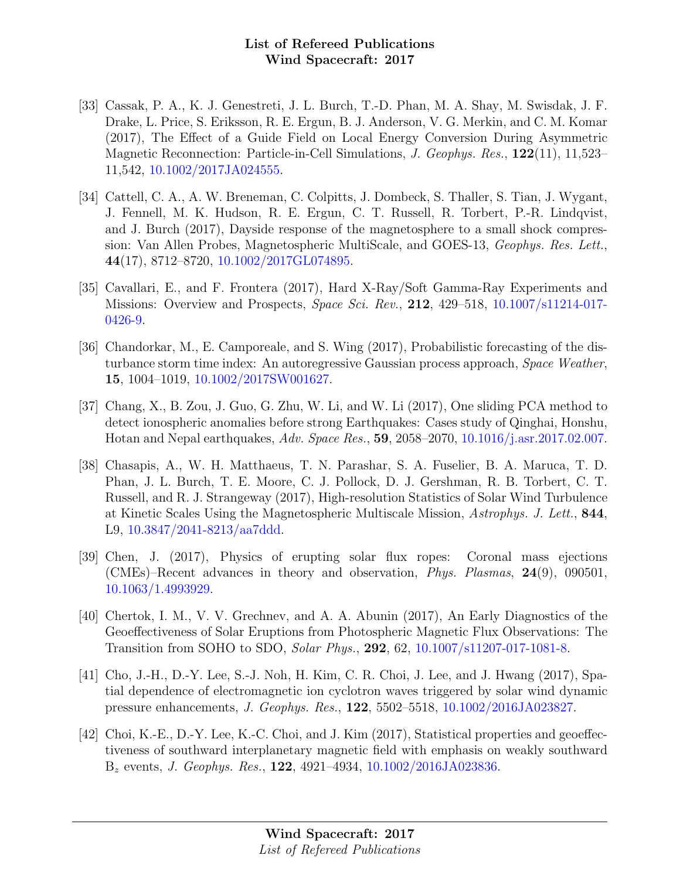- [33] Cassak, P. A., K. J. Genestreti, J. L. Burch, T.-D. Phan, M. A. Shay, M. Swisdak, J. F. Drake, L. Price, S. Eriksson, R. E. Ergun, B. J. Anderson, V. G. Merkin, and C. M. Komar (2017), The Effect of a Guide Field on Local Energy Conversion During Asymmetric Magnetic Reconnection: Particle-in-Cell Simulations, J. Geophys. Res., 122(11), 11,523– 11,542, [10.1002/2017JA024555.](http://dx.doi.org/10.1002/2017JA024555)
- [34] Cattell, C. A., A. W. Breneman, C. Colpitts, J. Dombeck, S. Thaller, S. Tian, J. Wygant, J. Fennell, M. K. Hudson, R. E. Ergun, C. T. Russell, R. Torbert, P.-R. Lindqvist, and J. Burch (2017), Dayside response of the magnetosphere to a small shock compression: Van Allen Probes, Magnetospheric MultiScale, and GOES-13, Geophys. Res. Lett., 44(17), 8712–8720, [10.1002/2017GL074895.](http://dx.doi.org/10.1002/2017GL074895)
- [35] Cavallari, E., and F. Frontera (2017), Hard X-Ray/Soft Gamma-Ray Experiments and Missions: Overview and Prospects, Space Sci. Rev., 212, 429–518, [10.1007/s11214-017-](http://dx.doi.org/10.1007/s11214-017-0426-9) [0426-9.](http://dx.doi.org/10.1007/s11214-017-0426-9)
- [36] Chandorkar, M., E. Camporeale, and S. Wing (2017), Probabilistic forecasting of the disturbance storm time index: An autoregressive Gaussian process approach, Space Weather, 15, 1004–1019, [10.1002/2017SW001627.](http://dx.doi.org/10.1002/2017SW001627)
- [37] Chang, X., B. Zou, J. Guo, G. Zhu, W. Li, and W. Li (2017), One sliding PCA method to detect ionospheric anomalies before strong Earthquakes: Cases study of Qinghai, Honshu, Hotan and Nepal earthquakes, Adv. Space Res., 59, 2058–2070, [10.1016/j.asr.2017.02.007.](http://dx.doi.org/10.1016/j.asr.2017.02.007)
- [38] Chasapis, A., W. H. Matthaeus, T. N. Parashar, S. A. Fuselier, B. A. Maruca, T. D. Phan, J. L. Burch, T. E. Moore, C. J. Pollock, D. J. Gershman, R. B. Torbert, C. T. Russell, and R. J. Strangeway (2017), High-resolution Statistics of Solar Wind Turbulence at Kinetic Scales Using the Magnetospheric Multiscale Mission, Astrophys. J. Lett., 844, L9, [10.3847/2041-8213/aa7ddd.](http://dx.doi.org/10.3847/2041-8213/aa7ddd)
- [39] Chen, J. (2017), Physics of erupting solar flux ropes: Coronal mass ejections (CMEs)–Recent advances in theory and observation, Phys. Plasmas, 24(9), 090501, [10.1063/1.4993929.](http://dx.doi.org/10.1063/1.4993929)
- [40] Chertok, I. M., V. V. Grechnev, and A. A. Abunin (2017), An Early Diagnostics of the Geoeffectiveness of Solar Eruptions from Photospheric Magnetic Flux Observations: The Transition from SOHO to SDO, Solar Phys., 292, 62, [10.1007/s11207-017-1081-8.](http://dx.doi.org/10.1007/s11207-017-1081-8)
- [41] Cho, J.-H., D.-Y. Lee, S.-J. Noh, H. Kim, C. R. Choi, J. Lee, and J. Hwang (2017), Spatial dependence of electromagnetic ion cyclotron waves triggered by solar wind dynamic pressure enhancements, J. Geophys. Res., 122, 5502–5518, [10.1002/2016JA023827.](http://dx.doi.org/10.1002/2016JA023827)
- [42] Choi, K.-E., D.-Y. Lee, K.-C. Choi, and J. Kim (2017), Statistical properties and geoeffectiveness of southward interplanetary magnetic field with emphasis on weakly southward  $B_z$  events, *J. Geophys. Res.*, **122**, 4921–4934,  $10.1002/2016JA023836$ .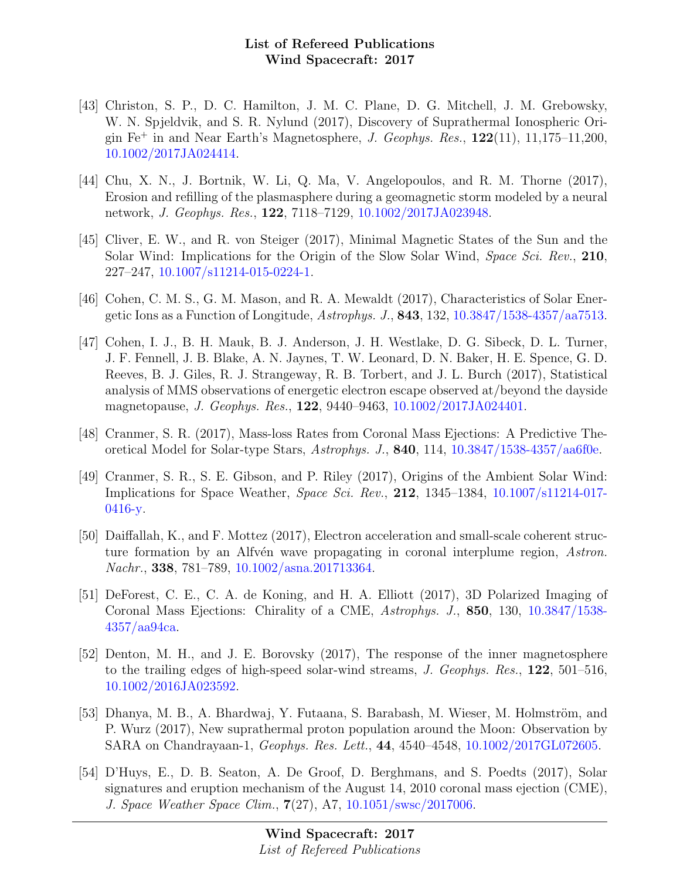- [43] Christon, S. P., D. C. Hamilton, J. M. C. Plane, D. G. Mitchell, J. M. Grebowsky, W. N. Spjeldvik, and S. R. Nylund (2017), Discovery of Suprathermal Ionospheric Origin  $Fe<sup>+</sup>$  in and Near Earth's Magnetosphere, *J. Geophys. Res.*,  $122(11)$ ,  $11,175-11,200$ , [10.1002/2017JA024414.](http://dx.doi.org/10.1002/2017JA024414)
- [44] Chu, X. N., J. Bortnik, W. Li, Q. Ma, V. Angelopoulos, and R. M. Thorne (2017), Erosion and refilling of the plasmasphere during a geomagnetic storm modeled by a neural network, J. Geophys. Res., 122, 7118–7129, [10.1002/2017JA023948.](http://dx.doi.org/10.1002/2017JA023948)
- [45] Cliver, E. W., and R. von Steiger (2017), Minimal Magnetic States of the Sun and the Solar Wind: Implications for the Origin of the Slow Solar Wind, Space Sci. Rev., 210, 227–247, [10.1007/s11214-015-0224-1.](http://dx.doi.org/10.1007/s11214-015-0224-1)
- [46] Cohen, C. M. S., G. M. Mason, and R. A. Mewaldt (2017), Characteristics of Solar Energetic Ions as a Function of Longitude,  $Astrophys. J.$ , 843, 132, [10.3847/1538-4357/aa7513.](http://dx.doi.org/10.3847/1538-4357/aa7513)
- [47] Cohen, I. J., B. H. Mauk, B. J. Anderson, J. H. Westlake, D. G. Sibeck, D. L. Turner, J. F. Fennell, J. B. Blake, A. N. Jaynes, T. W. Leonard, D. N. Baker, H. E. Spence, G. D. Reeves, B. J. Giles, R. J. Strangeway, R. B. Torbert, and J. L. Burch (2017), Statistical analysis of MMS observations of energetic electron escape observed at/beyond the dayside magnetopause, J. Geophys. Res., 122, 9440–9463, [10.1002/2017JA024401.](http://dx.doi.org/10.1002/2017JA024401)
- [48] Cranmer, S. R. (2017), Mass-loss Rates from Coronal Mass Ejections: A Predictive Theoretical Model for Solar-type Stars, Astrophys. J., 840, 114, [10.3847/1538-4357/aa6f0e.](http://dx.doi.org/10.3847/1538-4357/aa6f0e)
- [49] Cranmer, S. R., S. E. Gibson, and P. Riley (2017), Origins of the Ambient Solar Wind: Implications for Space Weather, Space Sci. Rev., 212, 1345–1384, [10.1007/s11214-017-](http://dx.doi.org/10.1007/s11214-017-0416-y) [0416-y.](http://dx.doi.org/10.1007/s11214-017-0416-y)
- [50] Daiffallah, K., and F. Mottez (2017), Electron acceleration and small-scale coherent structure formation by an Alfvén wave propagating in coronal interplume region, Astron. Nachr., 338, 781–789, [10.1002/asna.201713364.](http://dx.doi.org/10.1002/asna.201713364)
- [51] DeForest, C. E., C. A. de Koning, and H. A. Elliott (2017), 3D Polarized Imaging of Coronal Mass Ejections: Chirality of a CME, Astrophys. J., 850, 130, [10.3847/1538-](http://dx.doi.org/10.3847/1538-4357/aa94ca) [4357/aa94ca.](http://dx.doi.org/10.3847/1538-4357/aa94ca)
- [52] Denton, M. H., and J. E. Borovsky (2017), The response of the inner magnetosphere to the trailing edges of high-speed solar-wind streams, J. Geophys. Res., 122, 501–516, [10.1002/2016JA023592.](http://dx.doi.org/10.1002/2016JA023592)
- [53] Dhanya, M. B., A. Bhardwaj, Y. Futaana, S. Barabash, M. Wieser, M. Holmström, and P. Wurz (2017), New suprathermal proton population around the Moon: Observation by SARA on Chandrayaan-1, Geophys. Res. Lett., 44, 4540–4548, [10.1002/2017GL072605.](http://dx.doi.org/10.1002/2017GL072605)
- [54] D'Huys, E., D. B. Seaton, A. De Groof, D. Berghmans, and S. Poedts (2017), Solar signatures and eruption mechanism of the August 14, 2010 coronal mass ejection (CME), J. Space Weather Space Clim., 7(27), A7, [10.1051/swsc/2017006.](http://dx.doi.org/10.1051/swsc/2017006)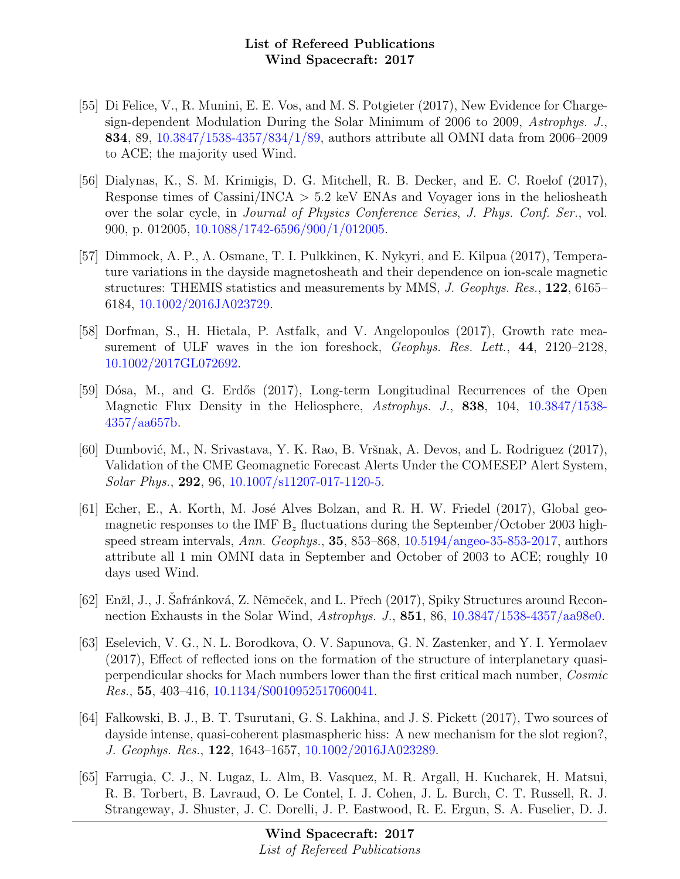- [55] Di Felice, V., R. Munini, E. E. Vos, and M. S. Potgieter (2017), New Evidence for Chargesign-dependent Modulation During the Solar Minimum of 2006 to 2009, Astrophys. J., 834, 89, [10.3847/1538-4357/834/1/89,](http://dx.doi.org/10.3847/1538-4357/834/1/89) authors attribute all OMNI data from 2006–2009 to ACE; the majority used Wind.
- [56] Dialynas, K., S. M. Krimigis, D. G. Mitchell, R. B. Decker, and E. C. Roelof (2017), Response times of Cassini/INCA  $> 5.2$  keV ENAs and Voyager ions in the heliosheath over the solar cycle, in Journal of Physics Conference Series, J. Phys. Conf. Ser., vol. 900, p. 012005, [10.1088/1742-6596/900/1/012005.](http://dx.doi.org/10.1088/1742-6596/900/1/012005)
- [57] Dimmock, A. P., A. Osmane, T. I. Pulkkinen, K. Nykyri, and E. Kilpua (2017), Temperature variations in the dayside magnetosheath and their dependence on ion-scale magnetic structures: THEMIS statistics and measurements by MMS, J. Geophys. Res., 122, 6165– 6184, [10.1002/2016JA023729.](http://dx.doi.org/10.1002/2016JA023729)
- [58] Dorfman, S., H. Hietala, P. Astfalk, and V. Angelopoulos (2017), Growth rate measurement of ULF waves in the ion foreshock, Geophys. Res. Lett., 44, 2120-2128, [10.1002/2017GL072692.](http://dx.doi.org/10.1002/2017GL072692)
- [59] Dósa, M., and G. Erdős (2017), Long-term Longitudinal Recurrences of the Open Magnetic Flux Density in the Heliosphere, Astrophys. J., 838, 104, [10.3847/1538-](http://dx.doi.org/10.3847/1538-4357/aa657b) [4357/aa657b.](http://dx.doi.org/10.3847/1538-4357/aa657b)
- [60] Dumbović, M., N. Srivastava, Y. K. Rao, B. Vršnak, A. Devos, and L. Rodriguez (2017), Validation of the CME Geomagnetic Forecast Alerts Under the COMESEP Alert System, Solar Phys., 292, 96, [10.1007/s11207-017-1120-5.](http://dx.doi.org/10.1007/s11207-017-1120-5)
- [61] Echer, E., A. Korth, M. José Alves Bolzan, and R. H. W. Friedel  $(2017)$ , Global geomagnetic responses to the IMF  $B_z$  fluctuations during the September/October 2003 highspeed stream intervals, Ann. Geophys., 35, 853–868, [10.5194/angeo-35-853-2017,](http://dx.doi.org/10.5194/angeo-35-853-2017) authors attribute all 1 min OMNI data in September and October of 2003 to ACE; roughly 10 days used Wind.
- [62] Enžl, J., J. Safránková, Z. Němeček, and L. Přech (2017), Spiky Structures around Reconnection Exhausts in the Solar Wind, Astrophys. J., 851, 86, [10.3847/1538-4357/aa98e0.](http://dx.doi.org/10.3847/1538-4357/aa98e0)
- [63] Eselevich, V. G., N. L. Borodkova, O. V. Sapunova, G. N. Zastenker, and Y. I. Yermolaev (2017), Effect of reflected ions on the formation of the structure of interplanetary quasiperpendicular shocks for Mach numbers lower than the first critical mach number, Cosmic Res., 55, 403–416, [10.1134/S0010952517060041.](http://dx.doi.org/10.1134/S0010952517060041)
- [64] Falkowski, B. J., B. T. Tsurutani, G. S. Lakhina, and J. S. Pickett (2017), Two sources of dayside intense, quasi-coherent plasmaspheric hiss: A new mechanism for the slot region?, J. Geophys. Res., 122, 1643–1657, [10.1002/2016JA023289.](http://dx.doi.org/10.1002/2016JA023289)
- [65] Farrugia, C. J., N. Lugaz, L. Alm, B. Vasquez, M. R. Argall, H. Kucharek, H. Matsui, R. B. Torbert, B. Lavraud, O. Le Contel, I. J. Cohen, J. L. Burch, C. T. Russell, R. J. Strangeway, J. Shuster, J. C. Dorelli, J. P. Eastwood, R. E. Ergun, S. A. Fuselier, D. J.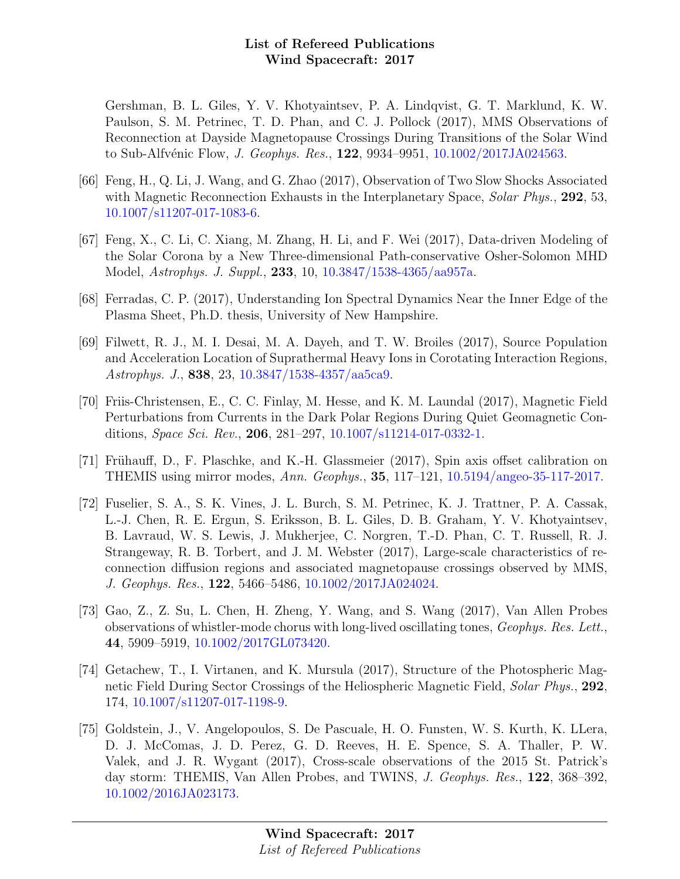Gershman, B. L. Giles, Y. V. Khotyaintsev, P. A. Lindqvist, G. T. Marklund, K. W. Paulson, S. M. Petrinec, T. D. Phan, and C. J. Pollock (2017), MMS Observations of Reconnection at Dayside Magnetopause Crossings During Transitions of the Solar Wind to Sub-Alfvénic Flow, *J. Geophys. Res.*, **122**, 9934–9951, [10.1002/2017JA024563.](http://dx.doi.org/10.1002/2017JA024563)

- [66] Feng, H., Q. Li, J. Wang, and G. Zhao (2017), Observation of Two Slow Shocks Associated with Magnetic Reconnection Exhausts in the Interplanetary Space, Solar Phys., 292, 53, [10.1007/s11207-017-1083-6.](http://dx.doi.org/10.1007/s11207-017-1083-6)
- [67] Feng, X., C. Li, C. Xiang, M. Zhang, H. Li, and F. Wei (2017), Data-driven Modeling of the Solar Corona by a New Three-dimensional Path-conservative Osher-Solomon MHD Model, Astrophys. J. Suppl., 233, 10, [10.3847/1538-4365/aa957a.](http://dx.doi.org/10.3847/1538-4365/aa957a)
- [68] Ferradas, C. P. (2017), Understanding Ion Spectral Dynamics Near the Inner Edge of the Plasma Sheet, Ph.D. thesis, University of New Hampshire.
- [69] Filwett, R. J., M. I. Desai, M. A. Dayeh, and T. W. Broiles (2017), Source Population and Acceleration Location of Suprathermal Heavy Ions in Corotating Interaction Regions, Astrophys. J., 838, 23, [10.3847/1538-4357/aa5ca9.](http://dx.doi.org/10.3847/1538-4357/aa5ca9)
- [70] Friis-Christensen, E., C. C. Finlay, M. Hesse, and K. M. Laundal (2017), Magnetic Field Perturbations from Currents in the Dark Polar Regions During Quiet Geomagnetic Conditions, Space Sci. Rev., 206, 281–297, [10.1007/s11214-017-0332-1.](http://dx.doi.org/10.1007/s11214-017-0332-1)
- [71] Frühauff, D., F. Plaschke, and K.-H. Glassmeier (2017), Spin axis offset calibration on THEMIS using mirror modes, Ann. Geophys., 35, 117–121, [10.5194/angeo-35-117-2017.](http://dx.doi.org/10.5194/angeo-35-117-2017)
- [72] Fuselier, S. A., S. K. Vines, J. L. Burch, S. M. Petrinec, K. J. Trattner, P. A. Cassak, L.-J. Chen, R. E. Ergun, S. Eriksson, B. L. Giles, D. B. Graham, Y. V. Khotyaintsev, B. Lavraud, W. S. Lewis, J. Mukherjee, C. Norgren, T.-D. Phan, C. T. Russell, R. J. Strangeway, R. B. Torbert, and J. M. Webster (2017), Large-scale characteristics of reconnection diffusion regions and associated magnetopause crossings observed by MMS, J. Geophys. Res., 122, 5466–5486, [10.1002/2017JA024024.](http://dx.doi.org/10.1002/2017JA024024)
- [73] Gao, Z., Z. Su, L. Chen, H. Zheng, Y. Wang, and S. Wang (2017), Van Allen Probes observations of whistler-mode chorus with long-lived oscillating tones, Geophys. Res. Lett., 44, 5909–5919, [10.1002/2017GL073420.](http://dx.doi.org/10.1002/2017GL073420)
- [74] Getachew, T., I. Virtanen, and K. Mursula (2017), Structure of the Photospheric Magnetic Field During Sector Crossings of the Heliospheric Magnetic Field, Solar Phys., 292, 174, [10.1007/s11207-017-1198-9.](http://dx.doi.org/10.1007/s11207-017-1198-9)
- [75] Goldstein, J., V. Angelopoulos, S. De Pascuale, H. O. Funsten, W. S. Kurth, K. LLera, D. J. McComas, J. D. Perez, G. D. Reeves, H. E. Spence, S. A. Thaller, P. W. Valek, and J. R. Wygant (2017), Cross-scale observations of the 2015 St. Patrick's day storm: THEMIS, Van Allen Probes, and TWINS, J. Geophys. Res., 122, 368–392, [10.1002/2016JA023173.](http://dx.doi.org/10.1002/2016JA023173)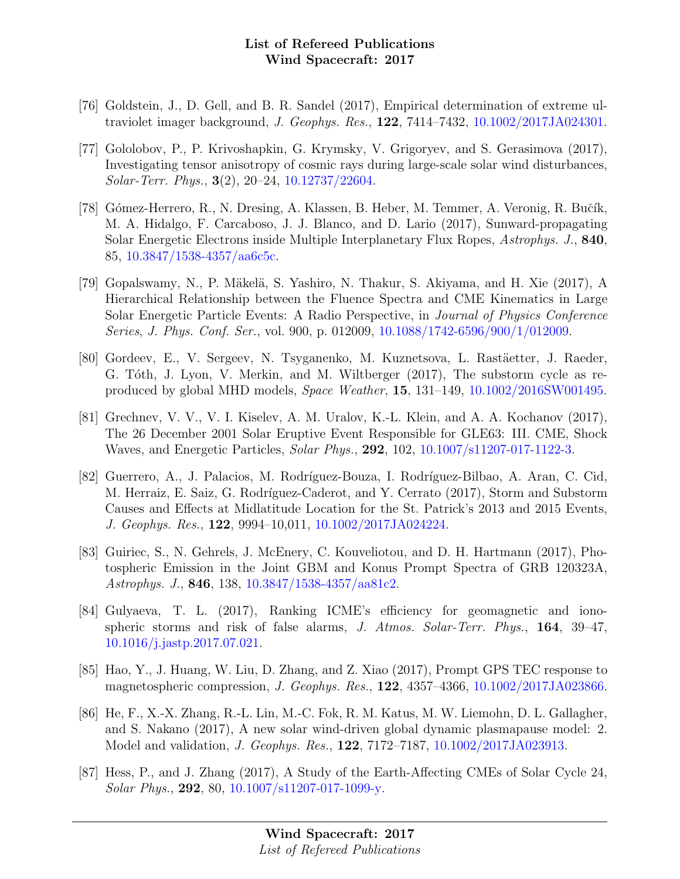- [76] Goldstein, J., D. Gell, and B. R. Sandel (2017), Empirical determination of extreme ultraviolet imager background, J. Geophys. Res., 122, 7414–7432, [10.1002/2017JA024301.](http://dx.doi.org/10.1002/2017JA024301)
- [77] Gololobov, P., P. Krivoshapkin, G. Krymsky, V. Grigoryev, and S. Gerasimova (2017), Investigating tensor anisotropy of cosmic rays during large-scale solar wind disturbances, Solar-Terr. Phys., 3(2), 20–24, [10.12737/22604.](http://dx.doi.org/10.12737/22604)
- [78] Gómez-Herrero, R., N. Dresing, A. Klassen, B. Heber, M. Temmer, A. Veronig, R. Bučík, M. A. Hidalgo, F. Carcaboso, J. J. Blanco, and D. Lario (2017), Sunward-propagating Solar Energetic Electrons inside Multiple Interplanetary Flux Ropes, Astrophys. J., 840, 85, [10.3847/1538-4357/aa6c5c.](http://dx.doi.org/10.3847/1538-4357/aa6c5c)
- [79] Gopalswamy, N., P. Mäkelä, S. Yashiro, N. Thakur, S. Akiyama, and H. Xie (2017), A Hierarchical Relationship between the Fluence Spectra and CME Kinematics in Large Solar Energetic Particle Events: A Radio Perspective, in Journal of Physics Conference Series, J. Phys. Conf. Ser., vol. 900, p. 012009, [10.1088/1742-6596/900/1/012009.](http://dx.doi.org/10.1088/1742-6596/900/1/012009)
- [80] Gordeev, E., V. Sergeev, N. Tsyganenko, M. Kuznetsova, L. Rastäetter, J. Raeder, G. Tóth, J. Lyon, V. Merkin, and M. Wiltberger (2017), The substorm cycle as reproduced by global MHD models, Space Weather, 15, 131–149, [10.1002/2016SW001495.](http://dx.doi.org/10.1002/2016SW001495)
- [81] Grechnev, V. V., V. I. Kiselev, A. M. Uralov, K.-L. Klein, and A. A. Kochanov (2017), The 26 December 2001 Solar Eruptive Event Responsible for GLE63: III. CME, Shock Waves, and Energetic Particles, Solar Phys., 292, 102, [10.1007/s11207-017-1122-3.](http://dx.doi.org/10.1007/s11207-017-1122-3)
- [82] Guerrero, A., J. Palacios, M. Rodríguez-Bouza, I. Rodríguez-Bilbao, A. Aran, C. Cid, M. Herraiz, E. Saiz, G. Rodríguez-Caderot, and Y. Cerrato (2017), Storm and Substorm Causes and Effects at Midlatitude Location for the St. Patrick's 2013 and 2015 Events, J. Geophys. Res., 122, 9994–10,011, [10.1002/2017JA024224.](http://dx.doi.org/10.1002/2017JA024224)
- [83] Guiriec, S., N. Gehrels, J. McEnery, C. Kouveliotou, and D. H. Hartmann (2017), Photospheric Emission in the Joint GBM and Konus Prompt Spectra of GRB 120323A, Astrophys. J., 846, 138, [10.3847/1538-4357/aa81c2.](http://dx.doi.org/10.3847/1538-4357/aa81c2)
- [84] Gulyaeva, T. L. (2017), Ranking ICME's efficiency for geomagnetic and ionospheric storms and risk of false alarms, J. Atmos. Solar-Terr. Phys., 164, 39–47, [10.1016/j.jastp.2017.07.021.](http://dx.doi.org/10.1016/j.jastp.2017.07.021)
- [85] Hao, Y., J. Huang, W. Liu, D. Zhang, and Z. Xiao (2017), Prompt GPS TEC response to magnetospheric compression, J. Geophys. Res., 122, 4357–4366, [10.1002/2017JA023866.](http://dx.doi.org/10.1002/2017JA023866)
- [86] He, F., X.-X. Zhang, R.-L. Lin, M.-C. Fok, R. M. Katus, M. W. Liemohn, D. L. Gallagher, and S. Nakano (2017), A new solar wind-driven global dynamic plasmapause model: 2. Model and validation, J. Geophys. Res., 122, 7172–7187, [10.1002/2017JA023913.](http://dx.doi.org/10.1002/2017JA023913)
- [87] Hess, P., and J. Zhang (2017), A Study of the Earth-Affecting CMEs of Solar Cycle 24, Solar Phys., 292, 80, [10.1007/s11207-017-1099-y.](http://dx.doi.org/10.1007/s11207-017-1099-y)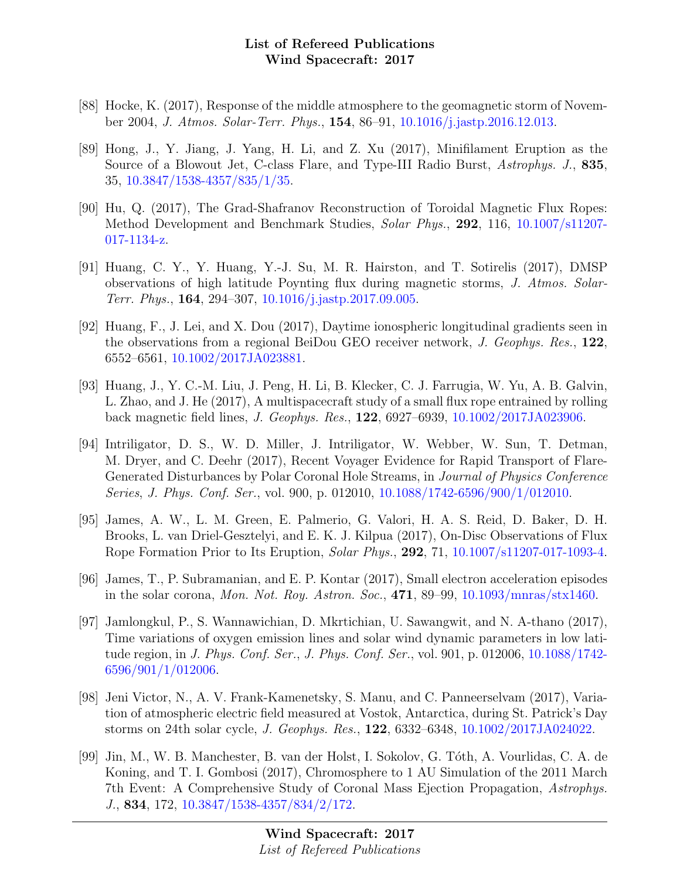- [88] Hocke, K. (2017), Response of the middle atmosphere to the geomagnetic storm of November 2004, J. Atmos. Solar-Terr. Phys., 154, 86–91, [10.1016/j.jastp.2016.12.013.](http://dx.doi.org/10.1016/j.jastp.2016.12.013)
- [89] Hong, J., Y. Jiang, J. Yang, H. Li, and Z. Xu (2017), Minifilament Eruption as the Source of a Blowout Jet, C-class Flare, and Type-III Radio Burst, Astrophys. J., 835, 35, [10.3847/1538-4357/835/1/35.](http://dx.doi.org/10.3847/1538-4357/835/1/35)
- [90] Hu, Q. (2017), The Grad-Shafranov Reconstruction of Toroidal Magnetic Flux Ropes: Method Development and Benchmark Studies, Solar Phys., 292, 116, [10.1007/s11207-](http://dx.doi.org/10.1007/s11207-017-1134-z) [017-1134-z.](http://dx.doi.org/10.1007/s11207-017-1134-z)
- [91] Huang, C. Y., Y. Huang, Y.-J. Su, M. R. Hairston, and T. Sotirelis (2017), DMSP observations of high latitude Poynting flux during magnetic storms, J. Atmos. Solar-Terr. Phys., 164, 294–307, [10.1016/j.jastp.2017.09.005.](http://dx.doi.org/10.1016/j.jastp.2017.09.005)
- [92] Huang, F., J. Lei, and X. Dou (2017), Daytime ionospheric longitudinal gradients seen in the observations from a regional BeiDou GEO receiver network, J. Geophys. Res., 122, 6552–6561, [10.1002/2017JA023881.](http://dx.doi.org/10.1002/2017JA023881)
- [93] Huang, J., Y. C.-M. Liu, J. Peng, H. Li, B. Klecker, C. J. Farrugia, W. Yu, A. B. Galvin, L. Zhao, and J. He (2017), A multispacecraft study of a small flux rope entrained by rolling back magnetic field lines, J. Geophys. Res., 122, 6927–6939, [10.1002/2017JA023906.](http://dx.doi.org/10.1002/2017JA023906)
- [94] Intriligator, D. S., W. D. Miller, J. Intriligator, W. Webber, W. Sun, T. Detman, M. Dryer, and C. Deehr (2017), Recent Voyager Evidence for Rapid Transport of Flare-Generated Disturbances by Polar Coronal Hole Streams, in Journal of Physics Conference Series, J. Phys. Conf. Ser., vol. 900, p. 012010, [10.1088/1742-6596/900/1/012010.](http://dx.doi.org/10.1088/1742-6596/900/1/012010)
- [95] James, A. W., L. M. Green, E. Palmerio, G. Valori, H. A. S. Reid, D. Baker, D. H. Brooks, L. van Driel-Gesztelyi, and E. K. J. Kilpua (2017), On-Disc Observations of Flux Rope Formation Prior to Its Eruption, Solar Phys., 292, 71, [10.1007/s11207-017-1093-4.](http://dx.doi.org/10.1007/s11207-017-1093-4)
- [96] James, T., P. Subramanian, and E. P. Kontar (2017), Small electron acceleration episodes in the solar corona, Mon. Not. Roy. Astron. Soc., 471, 89–99, [10.1093/mnras/stx1460.](http://dx.doi.org/10.1093/mnras/stx1460)
- [97] Jamlongkul, P., S. Wannawichian, D. Mkrtichian, U. Sawangwit, and N. A-thano (2017), Time variations of oxygen emission lines and solar wind dynamic parameters in low latitude region, in J. Phys. Conf. Ser., J. Phys. Conf. Ser., vol. 901, p. 012006, [10.1088/1742-](http://dx.doi.org/10.1088/1742-6596/901/1/012006) [6596/901/1/012006.](http://dx.doi.org/10.1088/1742-6596/901/1/012006)
- [98] Jeni Victor, N., A. V. Frank-Kamenetsky, S. Manu, and C. Panneerselvam (2017), Variation of atmospheric electric field measured at Vostok, Antarctica, during St. Patrick's Day storms on 24th solar cycle, J. Geophys. Res., 122, 6332–6348, [10.1002/2017JA024022.](http://dx.doi.org/10.1002/2017JA024022)
- [99] Jin, M., W. B. Manchester, B. van der Holst, I. Sokolov, G. T´oth, A. Vourlidas, C. A. de Koning, and T. I. Gombosi (2017), Chromosphere to 1 AU Simulation of the 2011 March 7th Event: A Comprehensive Study of Coronal Mass Ejection Propagation, Astrophys. J., 834, 172, [10.3847/1538-4357/834/2/172.](http://dx.doi.org/10.3847/1538-4357/834/2/172)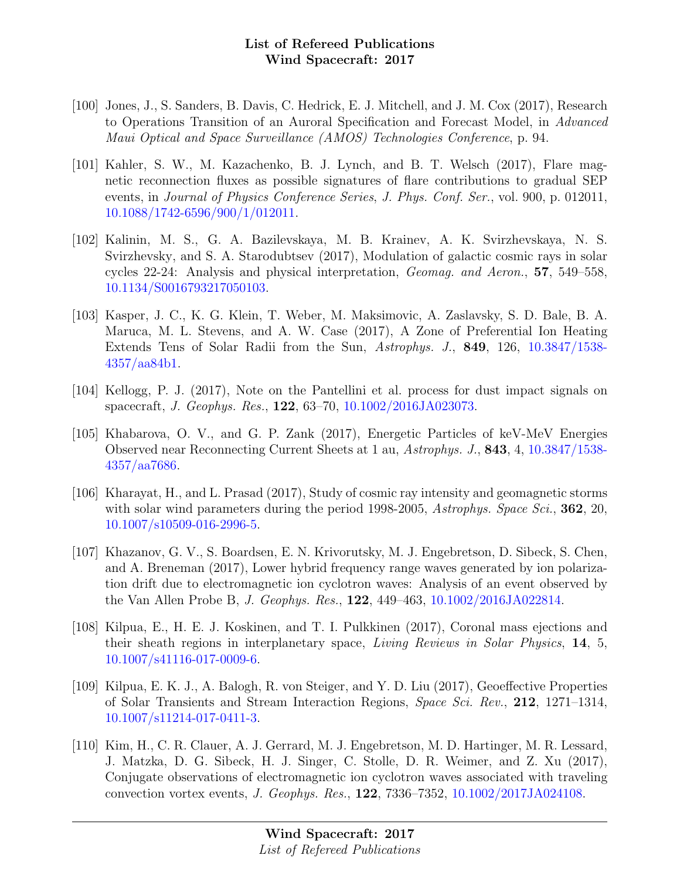- [100] Jones, J., S. Sanders, B. Davis, C. Hedrick, E. J. Mitchell, and J. M. Cox (2017), Research to Operations Transition of an Auroral Specification and Forecast Model, in Advanced Maui Optical and Space Surveillance (AMOS) Technologies Conference, p. 94.
- [101] Kahler, S. W., M. Kazachenko, B. J. Lynch, and B. T. Welsch (2017), Flare magnetic reconnection fluxes as possible signatures of flare contributions to gradual SEP events, in Journal of Physics Conference Series, J. Phys. Conf. Ser., vol. 900, p. 012011, [10.1088/1742-6596/900/1/012011.](http://dx.doi.org/10.1088/1742-6596/900/1/012011)
- [102] Kalinin, M. S., G. A. Bazilevskaya, M. B. Krainev, A. K. Svirzhevskaya, N. S. Svirzhevsky, and S. A. Starodubtsev (2017), Modulation of galactic cosmic rays in solar cycles 22-24: Analysis and physical interpretation, Geomag. and Aeron., 57, 549–558, [10.1134/S0016793217050103.](http://dx.doi.org/10.1134/S0016793217050103)
- [103] Kasper, J. C., K. G. Klein, T. Weber, M. Maksimovic, A. Zaslavsky, S. D. Bale, B. A. Maruca, M. L. Stevens, and A. W. Case (2017), A Zone of Preferential Ion Heating Extends Tens of Solar Radii from the Sun, Astrophys. J., 849, 126, [10.3847/1538-](http://dx.doi.org/10.3847/1538-4357/aa84b1) [4357/aa84b1.](http://dx.doi.org/10.3847/1538-4357/aa84b1)
- [104] Kellogg, P. J. (2017), Note on the Pantellini et al. process for dust impact signals on spacecraft, J. Geophys. Res., 122, 63–70, [10.1002/2016JA023073.](http://dx.doi.org/10.1002/2016JA023073)
- [105] Khabarova, O. V., and G. P. Zank (2017), Energetic Particles of keV-MeV Energies Observed near Reconnecting Current Sheets at 1 au, Astrophys. J., 843, 4, [10.3847/1538-](http://dx.doi.org/10.3847/1538-4357/aa7686) [4357/aa7686.](http://dx.doi.org/10.3847/1538-4357/aa7686)
- [106] Kharayat, H., and L. Prasad (2017), Study of cosmic ray intensity and geomagnetic storms with solar wind parameters during the period 1998-2005, Astrophys. Space Sci., **362**, 20, [10.1007/s10509-016-2996-5.](http://dx.doi.org/10.1007/s10509-016-2996-5)
- [107] Khazanov, G. V., S. Boardsen, E. N. Krivorutsky, M. J. Engebretson, D. Sibeck, S. Chen, and A. Breneman (2017), Lower hybrid frequency range waves generated by ion polarization drift due to electromagnetic ion cyclotron waves: Analysis of an event observed by the Van Allen Probe B, J. Geophys. Res., 122, 449–463, [10.1002/2016JA022814.](http://dx.doi.org/10.1002/2016JA022814)
- [108] Kilpua, E., H. E. J. Koskinen, and T. I. Pulkkinen (2017), Coronal mass ejections and their sheath regions in interplanetary space, Living Reviews in Solar Physics, 14, 5, [10.1007/s41116-017-0009-6.](http://dx.doi.org/10.1007/s41116-017-0009-6)
- [109] Kilpua, E. K. J., A. Balogh, R. von Steiger, and Y. D. Liu (2017), Geoeffective Properties of Solar Transients and Stream Interaction Regions, Space Sci. Rev., 212, 1271–1314, [10.1007/s11214-017-0411-3.](http://dx.doi.org/10.1007/s11214-017-0411-3)
- [110] Kim, H., C. R. Clauer, A. J. Gerrard, M. J. Engebretson, M. D. Hartinger, M. R. Lessard, J. Matzka, D. G. Sibeck, H. J. Singer, C. Stolle, D. R. Weimer, and Z. Xu (2017), Conjugate observations of electromagnetic ion cyclotron waves associated with traveling convection vortex events, J. Geophys. Res., 122, 7336–7352, [10.1002/2017JA024108.](http://dx.doi.org/10.1002/2017JA024108)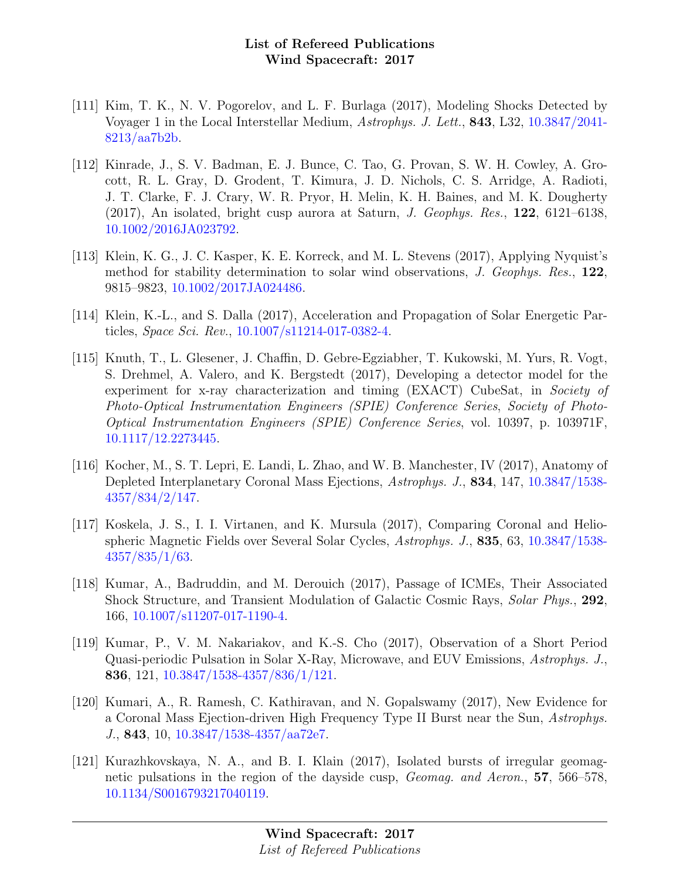- [111] Kim, T. K., N. V. Pogorelov, and L. F. Burlaga (2017), Modeling Shocks Detected by Voyager 1 in the Local Interstellar Medium, Astrophys. J. Lett., 843, L32, [10.3847/2041-](http://dx.doi.org/10.3847/2041-8213/aa7b2b) [8213/aa7b2b.](http://dx.doi.org/10.3847/2041-8213/aa7b2b)
- [112] Kinrade, J., S. V. Badman, E. J. Bunce, C. Tao, G. Provan, S. W. H. Cowley, A. Grocott, R. L. Gray, D. Grodent, T. Kimura, J. D. Nichols, C. S. Arridge, A. Radioti, J. T. Clarke, F. J. Crary, W. R. Pryor, H. Melin, K. H. Baines, and M. K. Dougherty (2017), An isolated, bright cusp aurora at Saturn, J. Geophys. Res., 122, 6121–6138, [10.1002/2016JA023792.](http://dx.doi.org/10.1002/2016JA023792)
- [113] Klein, K. G., J. C. Kasper, K. E. Korreck, and M. L. Stevens (2017), Applying Nyquist's method for stability determination to solar wind observations, J. Geophys. Res., 122, 9815–9823, [10.1002/2017JA024486.](http://dx.doi.org/10.1002/2017JA024486)
- [114] Klein, K.-L., and S. Dalla (2017), Acceleration and Propagation of Solar Energetic Particles, Space Sci. Rev., [10.1007/s11214-017-0382-4.](http://dx.doi.org/10.1007/s11214-017-0382-4)
- [115] Knuth, T., L. Glesener, J. Chaffin, D. Gebre-Egziabher, T. Kukowski, M. Yurs, R. Vogt, S. Drehmel, A. Valero, and K. Bergstedt (2017), Developing a detector model for the experiment for x-ray characterization and timing (EXACT) CubeSat, in Society of Photo-Optical Instrumentation Engineers (SPIE) Conference Series, Society of Photo-Optical Instrumentation Engineers (SPIE) Conference Series, vol. 10397, p. 103971F, [10.1117/12.2273445.](http://dx.doi.org/10.1117/12.2273445)
- [116] Kocher, M., S. T. Lepri, E. Landi, L. Zhao, and W. B. Manchester, IV (2017), Anatomy of Depleted Interplanetary Coronal Mass Ejections, Astrophys. J., 834, 147, [10.3847/1538-](http://dx.doi.org/10.3847/1538-4357/834/2/147) [4357/834/2/147.](http://dx.doi.org/10.3847/1538-4357/834/2/147)
- [117] Koskela, J. S., I. I. Virtanen, and K. Mursula (2017), Comparing Coronal and Heliospheric Magnetic Fields over Several Solar Cycles, Astrophys. J., 835, 63, [10.3847/1538-](http://dx.doi.org/10.3847/1538-4357/835/1/63) [4357/835/1/63.](http://dx.doi.org/10.3847/1538-4357/835/1/63)
- [118] Kumar, A., Badruddin, and M. Derouich (2017), Passage of ICMEs, Their Associated Shock Structure, and Transient Modulation of Galactic Cosmic Rays, Solar Phys., 292, 166, [10.1007/s11207-017-1190-4.](http://dx.doi.org/10.1007/s11207-017-1190-4)
- [119] Kumar, P., V. M. Nakariakov, and K.-S. Cho (2017), Observation of a Short Period Quasi-periodic Pulsation in Solar X-Ray, Microwave, and EUV Emissions, Astrophys. J., 836, 121, [10.3847/1538-4357/836/1/121.](http://dx.doi.org/10.3847/1538-4357/836/1/121)
- [120] Kumari, A., R. Ramesh, C. Kathiravan, and N. Gopalswamy (2017), New Evidence for a Coronal Mass Ejection-driven High Frequency Type II Burst near the Sun, Astrophys. J., 843, 10, [10.3847/1538-4357/aa72e7.](http://dx.doi.org/10.3847/1538-4357/aa72e7)
- [121] Kurazhkovskaya, N. A., and B. I. Klain (2017), Isolated bursts of irregular geomagnetic pulsations in the region of the dayside cusp, Geomag. and Aeron., 57, 566–578, [10.1134/S0016793217040119.](http://dx.doi.org/10.1134/S0016793217040119)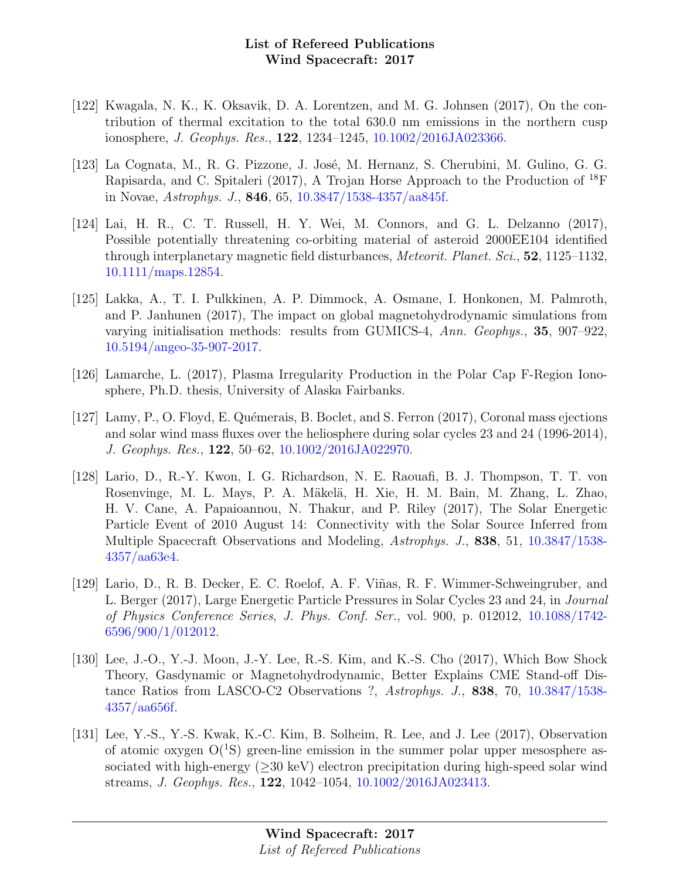- [122] Kwagala, N. K., K. Oksavik, D. A. Lorentzen, and M. G. Johnsen (2017), On the contribution of thermal excitation to the total 630.0 nm emissions in the northern cusp ionosphere, J. Geophys. Res., 122, 1234–1245, [10.1002/2016JA023366.](http://dx.doi.org/10.1002/2016JA023366)
- [123] La Cognata, M., R. G. Pizzone, J. José, M. Hernanz, S. Cherubini, M. Gulino, G. G. Rapisarda, and C. Spitaleri (2017), A Trojan Horse Approach to the Production of  $^{18}$ F in Novae, Astrophys. J., 846, 65, [10.3847/1538-4357/aa845f.](http://dx.doi.org/10.3847/1538-4357/aa845f)
- [124] Lai, H. R., C. T. Russell, H. Y. Wei, M. Connors, and G. L. Delzanno (2017), Possible potentially threatening co-orbiting material of asteroid 2000EE104 identified through interplanetary magnetic field disturbances, Meteorit. Planet. Sci., 52, 1125–1132, [10.1111/maps.12854.](http://dx.doi.org/10.1111/maps.12854)
- [125] Lakka, A., T. I. Pulkkinen, A. P. Dimmock, A. Osmane, I. Honkonen, M. Palmroth, and P. Janhunen (2017), The impact on global magnetohydrodynamic simulations from varying initialisation methods: results from GUMICS-4, Ann. Geophys., 35, 907–922, [10.5194/angeo-35-907-2017.](http://dx.doi.org/10.5194/angeo-35-907-2017)
- [126] Lamarche, L. (2017), Plasma Irregularity Production in the Polar Cap F-Region Ionosphere, Ph.D. thesis, University of Alaska Fairbanks.
- [127] Lamy, P., O. Floyd, E. Qu´emerais, B. Boclet, and S. Ferron (2017), Coronal mass ejections and solar wind mass fluxes over the heliosphere during solar cycles 23 and 24 (1996-2014), J. Geophys. Res., 122, 50–62, [10.1002/2016JA022970.](http://dx.doi.org/10.1002/2016JA022970)
- [128] Lario, D., R.-Y. Kwon, I. G. Richardson, N. E. Raouafi, B. J. Thompson, T. T. von Rosenvinge, M. L. Mays, P. A. Mäkelä, H. Xie, H. M. Bain, M. Zhang, L. Zhao, H. V. Cane, A. Papaioannou, N. Thakur, and P. Riley (2017), The Solar Energetic Particle Event of 2010 August 14: Connectivity with the Solar Source Inferred from Multiple Spacecraft Observations and Modeling, Astrophys. J., 838, 51, [10.3847/1538-](http://dx.doi.org/10.3847/1538-4357/aa63e4) [4357/aa63e4.](http://dx.doi.org/10.3847/1538-4357/aa63e4)
- [129] Lario, D., R. B. Decker, E. C. Roelof, A. F. Viñas, R. F. Wimmer-Schweingruber, and L. Berger (2017), Large Energetic Particle Pressures in Solar Cycles 23 and 24, in Journal of Physics Conference Series, J. Phys. Conf. Ser., vol. 900, p. 012012, [10.1088/1742-](http://dx.doi.org/10.1088/1742-6596/900/1/012012) [6596/900/1/012012.](http://dx.doi.org/10.1088/1742-6596/900/1/012012)
- [130] Lee, J.-O., Y.-J. Moon, J.-Y. Lee, R.-S. Kim, and K.-S. Cho (2017), Which Bow Shock Theory, Gasdynamic or Magnetohydrodynamic, Better Explains CME Stand-off Distance Ratios from LASCO-C2 Observations ?, Astrophys. J., 838, 70, [10.3847/1538-](http://dx.doi.org/10.3847/1538-4357/aa656f) [4357/aa656f.](http://dx.doi.org/10.3847/1538-4357/aa656f)
- [131] Lee, Y.-S., Y.-S. Kwak, K.-C. Kim, B. Solheim, R. Lee, and J. Lee (2017), Observation of atomic oxygen  $O(^{1}S)$  green-line emission in the summer polar upper mesosphere associated with high-energy  $(>30 \text{ keV})$  electron precipitation during high-speed solar wind streams, J. Geophys. Res., 122, 1042–1054, [10.1002/2016JA023413.](http://dx.doi.org/10.1002/2016JA023413)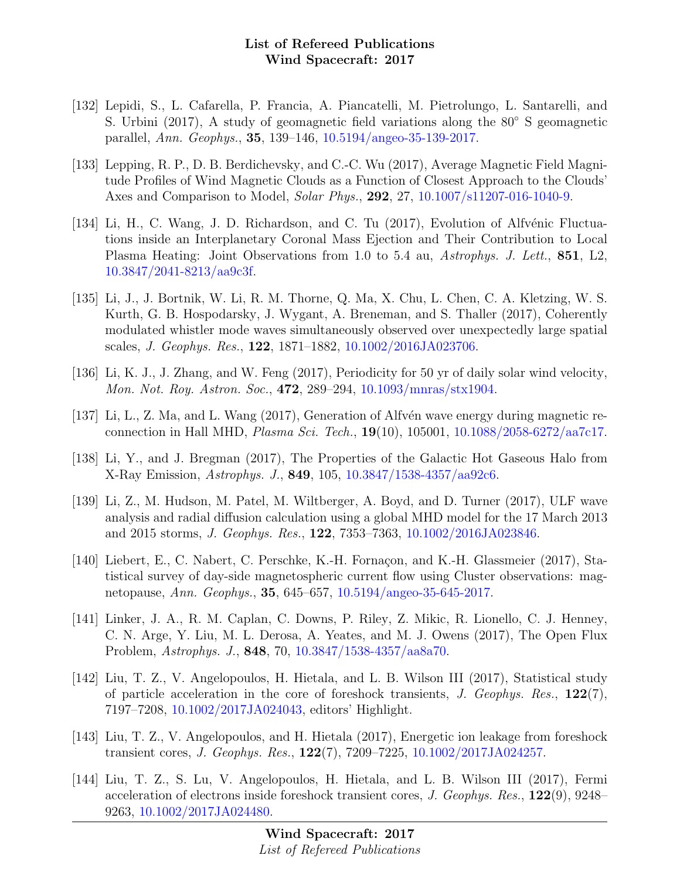- [132] Lepidi, S., L. Cafarella, P. Francia, A. Piancatelli, M. Pietrolungo, L. Santarelli, and S. Urbini (2017), A study of geomagnetic field variations along the 80◦ S geomagnetic parallel, Ann. Geophys., 35, 139–146, [10.5194/angeo-35-139-2017.](http://dx.doi.org/10.5194/angeo-35-139-2017)
- [133] Lepping, R. P., D. B. Berdichevsky, and C.-C. Wu (2017), Average Magnetic Field Magnitude Profiles of Wind Magnetic Clouds as a Function of Closest Approach to the Clouds' Axes and Comparison to Model, Solar Phys., 292, 27, [10.1007/s11207-016-1040-9.](http://dx.doi.org/10.1007/s11207-016-1040-9)
- [134] Li, H., C. Wang, J. D. Richardson, and C. Tu (2017), Evolution of Alfvénic Fluctuations inside an Interplanetary Coronal Mass Ejection and Their Contribution to Local Plasma Heating: Joint Observations from 1.0 to 5.4 au, Astrophys. J. Lett., 851, L2, [10.3847/2041-8213/aa9c3f.](http://dx.doi.org/10.3847/2041-8213/aa9c3f)
- [135] Li, J., J. Bortnik, W. Li, R. M. Thorne, Q. Ma, X. Chu, L. Chen, C. A. Kletzing, W. S. Kurth, G. B. Hospodarsky, J. Wygant, A. Breneman, and S. Thaller (2017), Coherently modulated whistler mode waves simultaneously observed over unexpectedly large spatial scales, J. Geophys. Res., 122, 1871–1882, [10.1002/2016JA023706.](http://dx.doi.org/10.1002/2016JA023706)
- [136] Li, K. J., J. Zhang, and W. Feng (2017), Periodicity for 50 yr of daily solar wind velocity, Mon. Not. Roy. Astron. Soc., 472, 289–294, [10.1093/mnras/stx1904.](http://dx.doi.org/10.1093/mnras/stx1904)
- [137] Li, L., Z. Ma, and L. Wang  $(2017)$ , Generation of Alfvén wave energy during magnetic reconnection in Hall MHD, Plasma Sci. Tech., 19(10), 105001, [10.1088/2058-6272/aa7c17.](http://dx.doi.org/10.1088/2058-6272/aa7c17)
- [138] Li, Y., and J. Bregman (2017), The Properties of the Galactic Hot Gaseous Halo from X-Ray Emission, Astrophys. J., 849, 105, [10.3847/1538-4357/aa92c6.](http://dx.doi.org/10.3847/1538-4357/aa92c6)
- [139] Li, Z., M. Hudson, M. Patel, M. Wiltberger, A. Boyd, and D. Turner (2017), ULF wave analysis and radial diffusion calculation using a global MHD model for the 17 March 2013 and 2015 storms, J. Geophys. Res., 122, 7353–7363, [10.1002/2016JA023846.](http://dx.doi.org/10.1002/2016JA023846)
- [140] Liebert, E., C. Nabert, C. Perschke, K.-H. Fornaçon, and K.-H. Glassmeier (2017), Statistical survey of day-side magnetospheric current flow using Cluster observations: magnetopause, Ann. Geophys., 35, 645–657, [10.5194/angeo-35-645-2017.](http://dx.doi.org/10.5194/angeo-35-645-2017)
- [141] Linker, J. A., R. M. Caplan, C. Downs, P. Riley, Z. Mikic, R. Lionello, C. J. Henney, C. N. Arge, Y. Liu, M. L. Derosa, A. Yeates, and M. J. Owens (2017), The Open Flux Problem, Astrophys. J., 848, 70, [10.3847/1538-4357/aa8a70.](http://dx.doi.org/10.3847/1538-4357/aa8a70)
- [142] Liu, T. Z., V. Angelopoulos, H. Hietala, and L. B. Wilson III (2017), Statistical study of particle acceleration in the core of foreshock transients, J. Geophys. Res.,  $122(7)$ , 7197–7208, [10.1002/2017JA024043,](http://dx.doi.org/10.1002/2017JA024043) editors' Highlight.
- [143] Liu, T. Z., V. Angelopoulos, and H. Hietala (2017), Energetic ion leakage from foreshock transient cores, J. Geophys. Res., 122(7), 7209–7225, [10.1002/2017JA024257.](http://dx.doi.org/10.1002/2017JA024257)
- [144] Liu, T. Z., S. Lu, V. Angelopoulos, H. Hietala, and L. B. Wilson III (2017), Fermi acceleration of electrons inside foreshock transient cores, J. Geophys. Res., 122(9), 9248– 9263, [10.1002/2017JA024480.](http://dx.doi.org/10.1002/2017JA024480)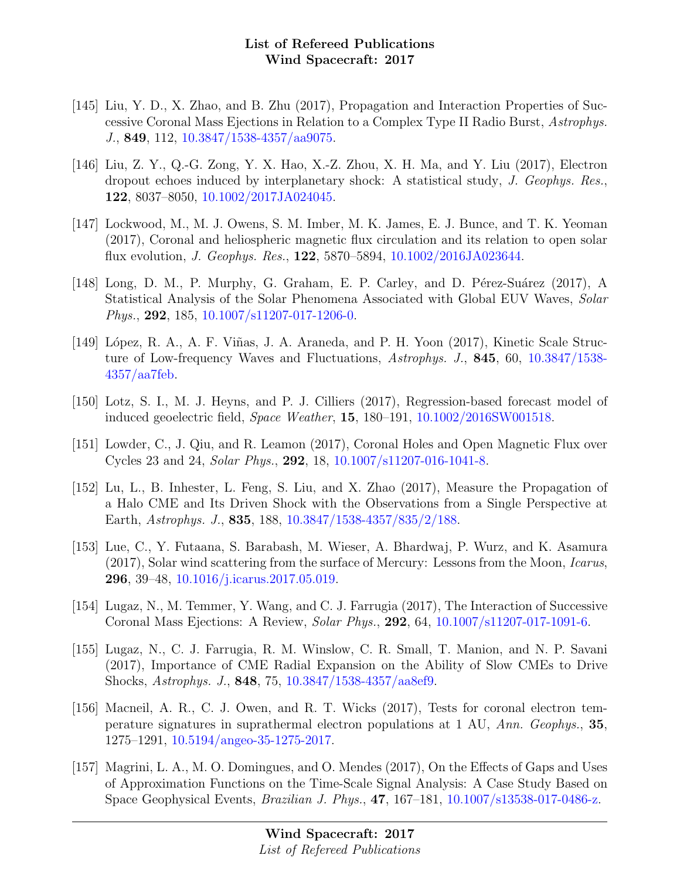- [145] Liu, Y. D., X. Zhao, and B. Zhu (2017), Propagation and Interaction Properties of Successive Coronal Mass Ejections in Relation to a Complex Type II Radio Burst, Astrophys. J., 849, 112, [10.3847/1538-4357/aa9075.](http://dx.doi.org/10.3847/1538-4357/aa9075)
- [146] Liu, Z. Y., Q.-G. Zong, Y. X. Hao, X.-Z. Zhou, X. H. Ma, and Y. Liu (2017), Electron dropout echoes induced by interplanetary shock: A statistical study, J. Geophys. Res., 122, 8037–8050, [10.1002/2017JA024045.](http://dx.doi.org/10.1002/2017JA024045)
- [147] Lockwood, M., M. J. Owens, S. M. Imber, M. K. James, E. J. Bunce, and T. K. Yeoman (2017), Coronal and heliospheric magnetic flux circulation and its relation to open solar flux evolution, J. Geophys. Res., 122, 5870–5894, [10.1002/2016JA023644.](http://dx.doi.org/10.1002/2016JA023644)
- [148] Long, D. M., P. Murphy, G. Graham, E. P. Carley, and D. Pérez-Suárez (2017), A Statistical Analysis of the Solar Phenomena Associated with Global EUV Waves, Solar Phys., 292, 185, [10.1007/s11207-017-1206-0.](http://dx.doi.org/10.1007/s11207-017-1206-0)
- [149] López, R. A., A. F. Viñas, J. A. Araneda, and P. H. Yoon (2017), Kinetic Scale Structure of Low-frequency Waves and Fluctuations, Astrophys. J., 845, 60, [10.3847/1538-](http://dx.doi.org/10.3847/1538-4357/aa7feb) [4357/aa7feb.](http://dx.doi.org/10.3847/1538-4357/aa7feb)
- [150] Lotz, S. I., M. J. Heyns, and P. J. Cilliers (2017), Regression-based forecast model of induced geoelectric field, Space Weather, 15, 180–191, [10.1002/2016SW001518.](http://dx.doi.org/10.1002/2016SW001518)
- [151] Lowder, C., J. Qiu, and R. Leamon (2017), Coronal Holes and Open Magnetic Flux over Cycles 23 and 24, Solar Phys., 292, 18, [10.1007/s11207-016-1041-8.](http://dx.doi.org/10.1007/s11207-016-1041-8)
- [152] Lu, L., B. Inhester, L. Feng, S. Liu, and X. Zhao (2017), Measure the Propagation of a Halo CME and Its Driven Shock with the Observations from a Single Perspective at Earth, Astrophys. J., 835, 188, [10.3847/1538-4357/835/2/188.](http://dx.doi.org/10.3847/1538-4357/835/2/188)
- [153] Lue, C., Y. Futaana, S. Barabash, M. Wieser, A. Bhardwaj, P. Wurz, and K. Asamura (2017), Solar wind scattering from the surface of Mercury: Lessons from the Moon, Icarus, 296, 39–48, [10.1016/j.icarus.2017.05.019.](http://dx.doi.org/10.1016/j.icarus.2017.05.019)
- [154] Lugaz, N., M. Temmer, Y. Wang, and C. J. Farrugia (2017), The Interaction of Successive Coronal Mass Ejections: A Review, Solar Phys., 292, 64, [10.1007/s11207-017-1091-6.](http://dx.doi.org/10.1007/s11207-017-1091-6)
- [155] Lugaz, N., C. J. Farrugia, R. M. Winslow, C. R. Small, T. Manion, and N. P. Savani (2017), Importance of CME Radial Expansion on the Ability of Slow CMEs to Drive Shocks, Astrophys. J., 848, 75, [10.3847/1538-4357/aa8ef9.](http://dx.doi.org/10.3847/1538-4357/aa8ef9)
- [156] Macneil, A. R., C. J. Owen, and R. T. Wicks (2017), Tests for coronal electron temperature signatures in suprathermal electron populations at 1 AU, Ann. Geophys., 35, 1275–1291, [10.5194/angeo-35-1275-2017.](http://dx.doi.org/10.5194/angeo-35-1275-2017)
- [157] Magrini, L. A., M. O. Domingues, and O. Mendes (2017), On the Effects of Gaps and Uses of Approximation Functions on the Time-Scale Signal Analysis: A Case Study Based on Space Geophysical Events, Brazilian J. Phys., 47, 167–181, [10.1007/s13538-017-0486-z.](http://dx.doi.org/10.1007/s13538-017-0486-z)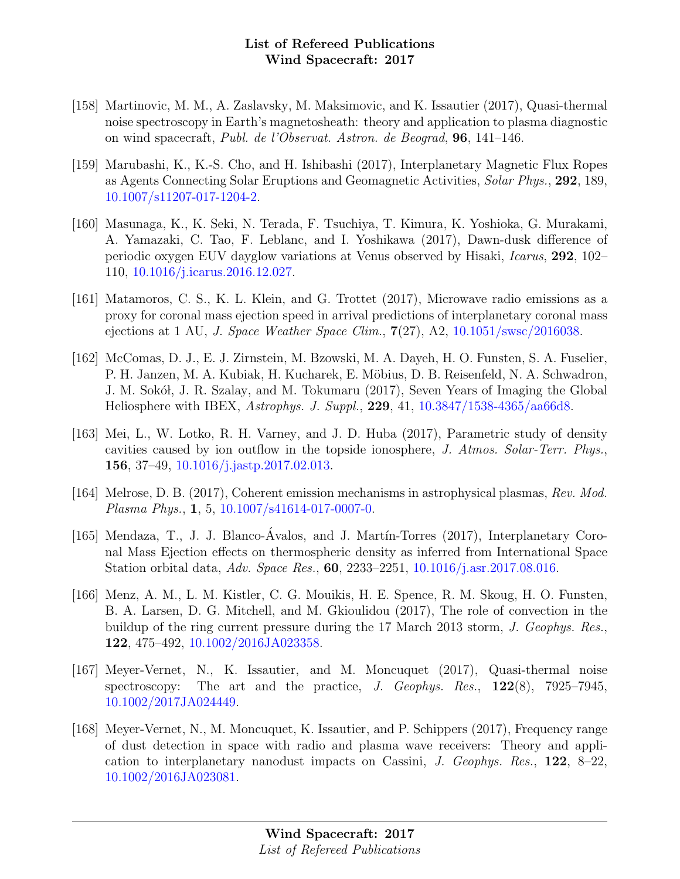- [158] Martinovic, M. M., A. Zaslavsky, M. Maksimovic, and K. Issautier (2017), Quasi-thermal noise spectroscopy in Earth's magnetosheath: theory and application to plasma diagnostic on wind spacecraft, Publ. de l'Observat. Astron. de Beograd, 96, 141–146.
- [159] Marubashi, K., K.-S. Cho, and H. Ishibashi (2017), Interplanetary Magnetic Flux Ropes as Agents Connecting Solar Eruptions and Geomagnetic Activities, Solar Phys., 292, 189, [10.1007/s11207-017-1204-2.](http://dx.doi.org/10.1007/s11207-017-1204-2)
- [160] Masunaga, K., K. Seki, N. Terada, F. Tsuchiya, T. Kimura, K. Yoshioka, G. Murakami, A. Yamazaki, C. Tao, F. Leblanc, and I. Yoshikawa (2017), Dawn-dusk difference of periodic oxygen EUV dayglow variations at Venus observed by Hisaki, Icarus, 292, 102– 110, [10.1016/j.icarus.2016.12.027.](http://dx.doi.org/10.1016/j.icarus.2016.12.027)
- [161] Matamoros, C. S., K. L. Klein, and G. Trottet (2017), Microwave radio emissions as a proxy for coronal mass ejection speed in arrival predictions of interplanetary coronal mass ejections at 1 AU, J. Space Weather Space Clim.,  $7(27)$ , A2,  $10.1051/\text{swsc}/2016038$ .
- [162] McComas, D. J., E. J. Zirnstein, M. Bzowski, M. A. Dayeh, H. O. Funsten, S. A. Fuselier, P. H. Janzen, M. A. Kubiak, H. Kucharek, E. Möbius, D. B. Reisenfeld, N. A. Schwadron, J. M. Sokół, J. R. Szalay, and M. Tokumaru (2017), Seven Years of Imaging the Global Heliosphere with IBEX, Astrophys. J. Suppl., 229, 41, [10.3847/1538-4365/aa66d8.](http://dx.doi.org/10.3847/1538-4365/aa66d8)
- [163] Mei, L., W. Lotko, R. H. Varney, and J. D. Huba (2017), Parametric study of density cavities caused by ion outflow in the topside ionosphere, J. Atmos. Solar-Terr. Phys., 156, 37–49, [10.1016/j.jastp.2017.02.013.](http://dx.doi.org/10.1016/j.jastp.2017.02.013)
- [164] Melrose, D. B. (2017), Coherent emission mechanisms in astrophysical plasmas, Rev. Mod. Plasma Phys., 1, 5, [10.1007/s41614-017-0007-0.](http://dx.doi.org/10.1007/s41614-017-0007-0)
- [165] Mendaza, T., J. J. Blanco-Ávalos, and J. Martín-Torres (2017), Interplanetary Coronal Mass Ejection effects on thermospheric density as inferred from International Space Station orbital data, Adv. Space Res., 60, 2233–2251, [10.1016/j.asr.2017.08.016.](http://dx.doi.org/10.1016/j.asr.2017.08.016)
- [166] Menz, A. M., L. M. Kistler, C. G. Mouikis, H. E. Spence, R. M. Skoug, H. O. Funsten, B. A. Larsen, D. G. Mitchell, and M. Gkioulidou (2017), The role of convection in the buildup of the ring current pressure during the 17 March 2013 storm, J. Geophys. Res., 122, 475–492, [10.1002/2016JA023358.](http://dx.doi.org/10.1002/2016JA023358)
- [167] Meyer-Vernet, N., K. Issautier, and M. Moncuquet (2017), Quasi-thermal noise spectroscopy: The art and the practice,  $J.$  Geophys. Res.,  $122(8)$ , 7925–7945, [10.1002/2017JA024449.](http://dx.doi.org/10.1002/2017JA024449)
- [168] Meyer-Vernet, N., M. Moncuquet, K. Issautier, and P. Schippers (2017), Frequency range of dust detection in space with radio and plasma wave receivers: Theory and application to interplanetary nanodust impacts on Cassini, J. Geophys. Res., 122, 8–22, [10.1002/2016JA023081.](http://dx.doi.org/10.1002/2016JA023081)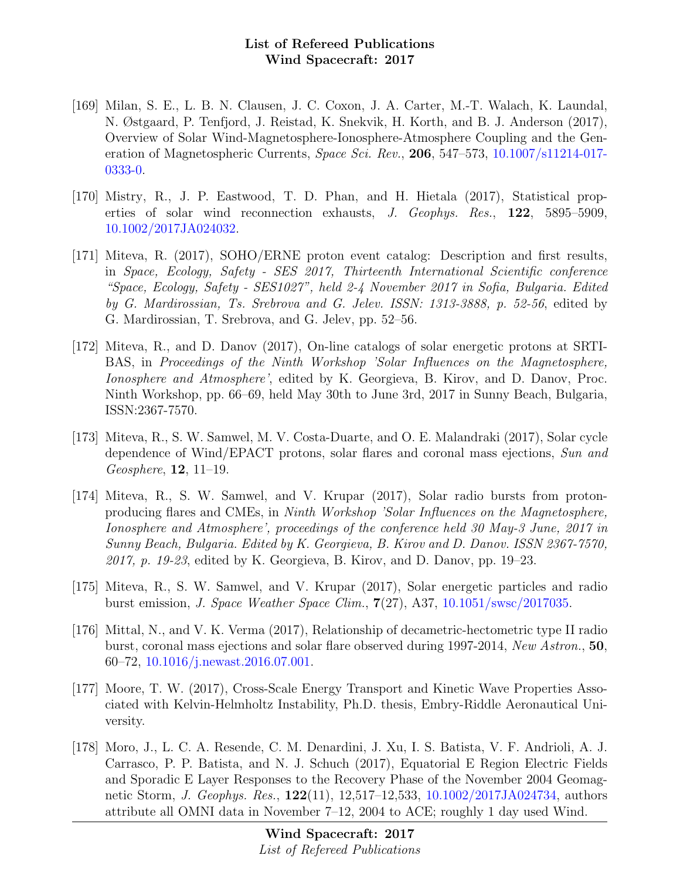- [169] Milan, S. E., L. B. N. Clausen, J. C. Coxon, J. A. Carter, M.-T. Walach, K. Laundal, N. Østgaard, P. Tenfjord, J. Reistad, K. Snekvik, H. Korth, and B. J. Anderson (2017), Overview of Solar Wind-Magnetosphere-Ionosphere-Atmosphere Coupling and the Generation of Magnetospheric Currents, *Space Sci. Rev.*, **206**, 547–573, [10.1007/s11214-017-](http://dx.doi.org/10.1007/s11214-017-0333-0) [0333-0.](http://dx.doi.org/10.1007/s11214-017-0333-0)
- [170] Mistry, R., J. P. Eastwood, T. D. Phan, and H. Hietala (2017), Statistical properties of solar wind reconnection exhausts, J. Geophys. Res., 122, 5895–5909, [10.1002/2017JA024032.](http://dx.doi.org/10.1002/2017JA024032)
- [171] Miteva, R. (2017), SOHO/ERNE proton event catalog: Description and first results, in Space, Ecology, Safety - SES 2017, Thirteenth International Scientific conference "Space, Ecology, Safety - SES1027", held 2-4 November 2017 in Sofia, Bulgaria. Edited by G. Mardirossian, Ts. Srebrova and G. Jelev. ISSN: 1313-3888, p. 52-56, edited by G. Mardirossian, T. Srebrova, and G. Jelev, pp. 52–56.
- [172] Miteva, R., and D. Danov (2017), On-line catalogs of solar energetic protons at SRTI-BAS, in Proceedings of the Ninth Workshop 'Solar Influences on the Magnetosphere, Ionosphere and Atmosphere', edited by K. Georgieva, B. Kirov, and D. Danov, Proc. Ninth Workshop, pp. 66–69, held May 30th to June 3rd, 2017 in Sunny Beach, Bulgaria, ISSN:2367-7570.
- [173] Miteva, R., S. W. Samwel, M. V. Costa-Duarte, and O. E. Malandraki (2017), Solar cycle dependence of Wind/EPACT protons, solar flares and coronal mass ejections, Sun and Geosphere, 12, 11–19.
- [174] Miteva, R., S. W. Samwel, and V. Krupar (2017), Solar radio bursts from protonproducing flares and CMEs, in Ninth Workshop 'Solar Influences on the Magnetosphere, Ionosphere and Atmosphere', proceedings of the conference held 30 May-3 June, 2017 in Sunny Beach, Bulgaria. Edited by K. Georgieva, B. Kirov and D. Danov. ISSN 2367-7570,  $2017$ , p. 19-23, edited by K. Georgieva, B. Kirov, and D. Danov, pp. 19-23.
- [175] Miteva, R., S. W. Samwel, and V. Krupar (2017), Solar energetic particles and radio burst emission, J. Space Weather Space Clim., 7(27), A37, [10.1051/swsc/2017035.](http://dx.doi.org/10.1051/swsc/2017035)
- [176] Mittal, N., and V. K. Verma (2017), Relationship of decametric-hectometric type II radio burst, coronal mass ejections and solar flare observed during 1997-2014, New Astron., 50, 60–72, [10.1016/j.newast.2016.07.001.](http://dx.doi.org/10.1016/j.newast.2016.07.001)
- [177] Moore, T. W. (2017), Cross-Scale Energy Transport and Kinetic Wave Properties Associated with Kelvin-Helmholtz Instability, Ph.D. thesis, Embry-Riddle Aeronautical University.
- [178] Moro, J., L. C. A. Resende, C. M. Denardini, J. Xu, I. S. Batista, V. F. Andrioli, A. J. Carrasco, P. P. Batista, and N. J. Schuch (2017), Equatorial E Region Electric Fields and Sporadic E Layer Responses to the Recovery Phase of the November 2004 Geomagnetic Storm, J. Geophys. Res., 122(11), 12,517–12,533, [10.1002/2017JA024734,](http://dx.doi.org/10.1002/2017JA024734) authors attribute all OMNI data in November 7–12, 2004 to ACE; roughly 1 day used Wind.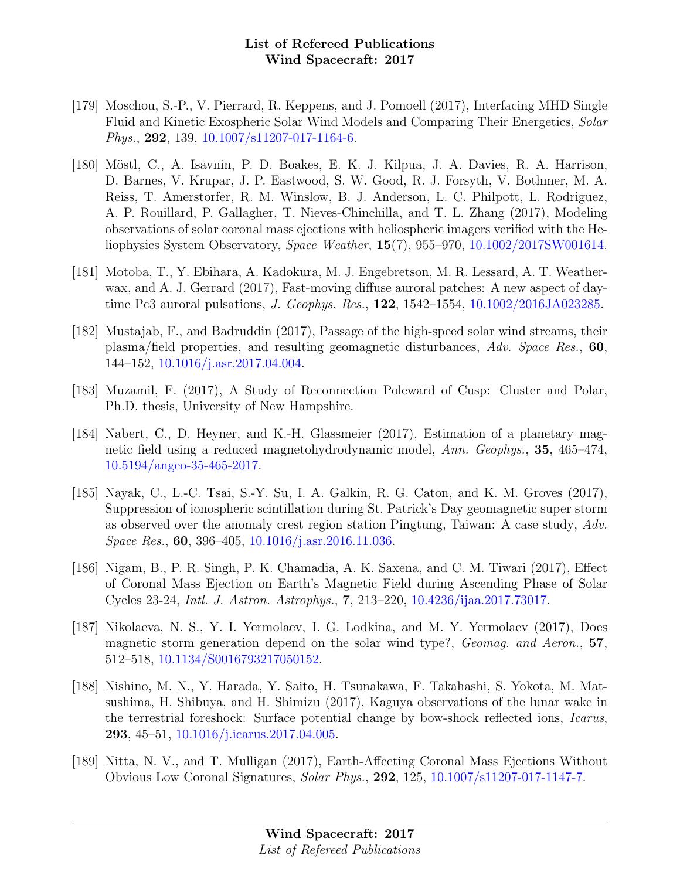- [179] Moschou, S.-P., V. Pierrard, R. Keppens, and J. Pomoell (2017), Interfacing MHD Single Fluid and Kinetic Exospheric Solar Wind Models and Comparing Their Energetics, Solar Phys., 292, 139,  $10.1007 \frac{\text{sl}}{1207 \cdot 017 \cdot 1164 \cdot 6}$ .
- [180] Möstl, C., A. Isavnin, P. D. Boakes, E. K. J. Kilpua, J. A. Davies, R. A. Harrison, D. Barnes, V. Krupar, J. P. Eastwood, S. W. Good, R. J. Forsyth, V. Bothmer, M. A. Reiss, T. Amerstorfer, R. M. Winslow, B. J. Anderson, L. C. Philpott, L. Rodriguez, A. P. Rouillard, P. Gallagher, T. Nieves-Chinchilla, and T. L. Zhang (2017), Modeling observations of solar coronal mass ejections with heliospheric imagers verified with the Heliophysics System Observatory, Space Weather, 15(7), 955–970, [10.1002/2017SW001614.](http://dx.doi.org/10.1002/2017SW001614)
- [181] Motoba, T., Y. Ebihara, A. Kadokura, M. J. Engebretson, M. R. Lessard, A. T. Weatherwax, and A. J. Gerrard (2017), Fast-moving diffuse auroral patches: A new aspect of daytime Pc3 auroral pulsations, J. Geophys. Res., 122, 1542–1554, [10.1002/2016JA023285.](http://dx.doi.org/10.1002/2016JA023285)
- [182] Mustajab, F., and Badruddin (2017), Passage of the high-speed solar wind streams, their plasma/field properties, and resulting geomagnetic disturbances, Adv. Space Res., 60, 144–152, [10.1016/j.asr.2017.04.004.](http://dx.doi.org/10.1016/j.asr.2017.04.004)
- [183] Muzamil, F. (2017), A Study of Reconnection Poleward of Cusp: Cluster and Polar, Ph.D. thesis, University of New Hampshire.
- [184] Nabert, C., D. Heyner, and K.-H. Glassmeier (2017), Estimation of a planetary magnetic field using a reduced magnetohydrodynamic model, Ann. Geophys., 35, 465–474, [10.5194/angeo-35-465-2017.](http://dx.doi.org/10.5194/angeo-35-465-2017)
- [185] Nayak, C., L.-C. Tsai, S.-Y. Su, I. A. Galkin, R. G. Caton, and K. M. Groves (2017), Suppression of ionospheric scintillation during St. Patrick's Day geomagnetic super storm as observed over the anomaly crest region station Pingtung, Taiwan: A case study, Adv. Space Res., 60, 396–405, [10.1016/j.asr.2016.11.036.](http://dx.doi.org/10.1016/j.asr.2016.11.036)
- [186] Nigam, B., P. R. Singh, P. K. Chamadia, A. K. Saxena, and C. M. Tiwari (2017), Effect of Coronal Mass Ejection on Earth's Magnetic Field during Ascending Phase of Solar Cycles 23-24, Intl. J. Astron. Astrophys., 7, 213–220, [10.4236/ijaa.2017.73017.](http://dx.doi.org/10.4236/ijaa.2017.73017)
- [187] Nikolaeva, N. S., Y. I. Yermolaev, I. G. Lodkina, and M. Y. Yermolaev (2017), Does magnetic storm generation depend on the solar wind type?, Geomag. and Aeron., 57, 512–518, [10.1134/S0016793217050152.](http://dx.doi.org/10.1134/S0016793217050152)
- [188] Nishino, M. N., Y. Harada, Y. Saito, H. Tsunakawa, F. Takahashi, S. Yokota, M. Matsushima, H. Shibuya, and H. Shimizu (2017), Kaguya observations of the lunar wake in the terrestrial foreshock: Surface potential change by bow-shock reflected ions, Icarus, 293, 45–51, [10.1016/j.icarus.2017.04.005.](http://dx.doi.org/10.1016/j.icarus.2017.04.005)
- [189] Nitta, N. V., and T. Mulligan (2017), Earth-Affecting Coronal Mass Ejections Without Obvious Low Coronal Signatures, Solar Phys., 292, 125, [10.1007/s11207-017-1147-7.](http://dx.doi.org/10.1007/s11207-017-1147-7)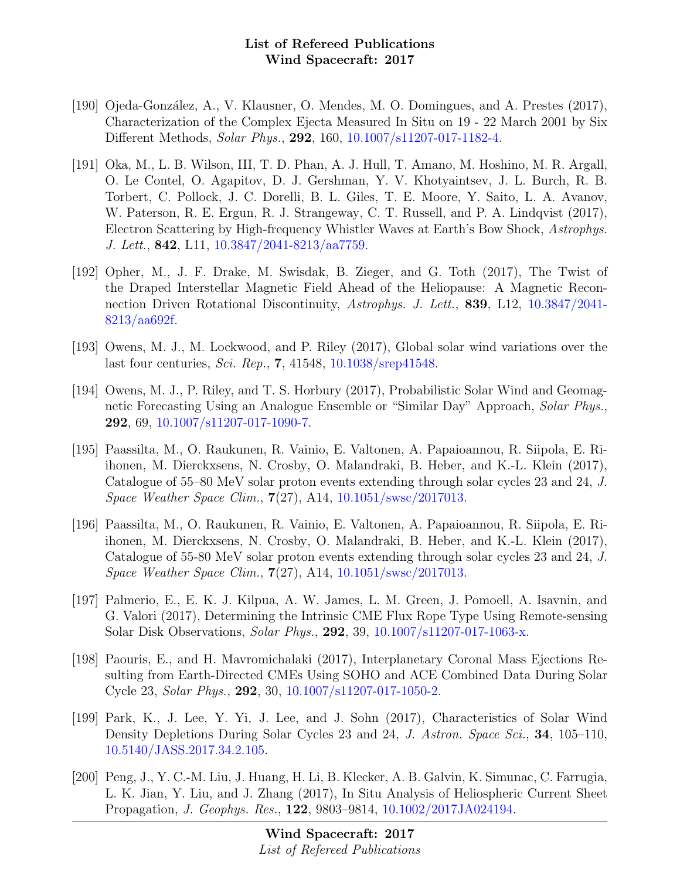- [190] Ojeda-González, A., V. Klausner, O. Mendes, M. O. Domingues, and A. Prestes (2017), Characterization of the Complex Ejecta Measured In Situ on 19 - 22 March 2001 by Six Different Methods, Solar Phys., 292, 160, [10.1007/s11207-017-1182-4.](http://dx.doi.org/10.1007/s11207-017-1182-4)
- [191] Oka, M., L. B. Wilson, III, T. D. Phan, A. J. Hull, T. Amano, M. Hoshino, M. R. Argall, O. Le Contel, O. Agapitov, D. J. Gershman, Y. V. Khotyaintsev, J. L. Burch, R. B. Torbert, C. Pollock, J. C. Dorelli, B. L. Giles, T. E. Moore, Y. Saito, L. A. Avanov, W. Paterson, R. E. Ergun, R. J. Strangeway, C. T. Russell, and P. A. Lindqvist (2017), Electron Scattering by High-frequency Whistler Waves at Earth's Bow Shock, Astrophys. J. Lett., 842, L11, [10.3847/2041-8213/aa7759.](http://dx.doi.org/10.3847/2041-8213/aa7759)
- [192] Opher, M., J. F. Drake, M. Swisdak, B. Zieger, and G. Toth (2017), The Twist of the Draped Interstellar Magnetic Field Ahead of the Heliopause: A Magnetic Reconnection Driven Rotational Discontinuity, Astrophys. J. Lett., 839, L12, [10.3847/2041-](http://dx.doi.org/10.3847/2041-8213/aa692f) [8213/aa692f.](http://dx.doi.org/10.3847/2041-8213/aa692f)
- [193] Owens, M. J., M. Lockwood, and P. Riley (2017), Global solar wind variations over the last four centuries, Sci. Rep., 7, 41548, [10.1038/srep41548.](http://dx.doi.org/10.1038/srep41548)
- [194] Owens, M. J., P. Riley, and T. S. Horbury (2017), Probabilistic Solar Wind and Geomagnetic Forecasting Using an Analogue Ensemble or "Similar Day" Approach, Solar Phys., 292, 69, [10.1007/s11207-017-1090-7.](http://dx.doi.org/10.1007/s11207-017-1090-7)
- [195] Paassilta, M., O. Raukunen, R. Vainio, E. Valtonen, A. Papaioannou, R. Siipola, E. Riihonen, M. Dierckxsens, N. Crosby, O. Malandraki, B. Heber, and K.-L. Klein (2017), Catalogue of 55–80 MeV solar proton events extending through solar cycles 23 and 24, J. Space Weather Space Clim., 7(27), A14, [10.1051/swsc/2017013.](http://dx.doi.org/10.1051/swsc/2017013)
- [196] Paassilta, M., O. Raukunen, R. Vainio, E. Valtonen, A. Papaioannou, R. Siipola, E. Riihonen, M. Dierckxsens, N. Crosby, O. Malandraki, B. Heber, and K.-L. Klein (2017), Catalogue of 55-80 MeV solar proton events extending through solar cycles 23 and 24, J. Space Weather Space Clim., 7(27), A14, [10.1051/swsc/2017013.](http://dx.doi.org/10.1051/swsc/2017013)
- [197] Palmerio, E., E. K. J. Kilpua, A. W. James, L. M. Green, J. Pomoell, A. Isavnin, and G. Valori (2017), Determining the Intrinsic CME Flux Rope Type Using Remote-sensing Solar Disk Observations, Solar Phys., 292, 39, [10.1007/s11207-017-1063-x.](http://dx.doi.org/10.1007/s11207-017-1063-x)
- [198] Paouris, E., and H. Mavromichalaki (2017), Interplanetary Coronal Mass Ejections Resulting from Earth-Directed CMEs Using SOHO and ACE Combined Data During Solar Cycle 23, Solar Phys., 292, 30, [10.1007/s11207-017-1050-2.](http://dx.doi.org/10.1007/s11207-017-1050-2)
- [199] Park, K., J. Lee, Y. Yi, J. Lee, and J. Sohn (2017), Characteristics of Solar Wind Density Depletions During Solar Cycles 23 and 24, J. Astron. Space Sci., 34, 105–110, [10.5140/JASS.2017.34.2.105.](http://dx.doi.org/10.5140/JASS.2017.34.2.105)
- [200] Peng, J., Y. C.-M. Liu, J. Huang, H. Li, B. Klecker, A. B. Galvin, K. Simunac, C. Farrugia, L. K. Jian, Y. Liu, and J. Zhang (2017), In Situ Analysis of Heliospheric Current Sheet Propagation, J. Geophys. Res., 122, 9803–9814, [10.1002/2017JA024194.](http://dx.doi.org/10.1002/2017JA024194)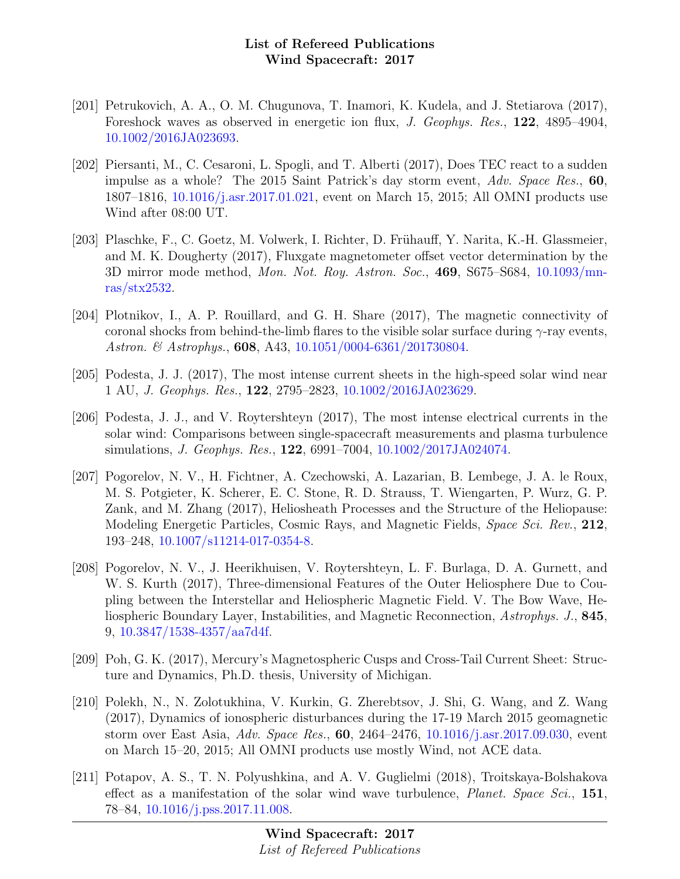- [201] Petrukovich, A. A., O. M. Chugunova, T. Inamori, K. Kudela, and J. Stetiarova (2017), Foreshock waves as observed in energetic ion flux, J. Geophys. Res., 122, 4895–4904, [10.1002/2016JA023693.](http://dx.doi.org/10.1002/2016JA023693)
- [202] Piersanti, M., C. Cesaroni, L. Spogli, and T. Alberti (2017), Does TEC react to a sudden impulse as a whole? The 2015 Saint Patrick's day storm event, Adv. Space Res., 60, 1807–1816, [10.1016/j.asr.2017.01.021,](http://dx.doi.org/10.1016/j.asr.2017.01.021) event on March 15, 2015; All OMNI products use Wind after 08:00 UT.
- [203] Plaschke, F., C. Goetz, M. Volwerk, I. Richter, D. Frühauff, Y. Narita, K.-H. Glassmeier, and M. K. Dougherty (2017), Fluxgate magnetometer offset vector determination by the 3D mirror mode method, Mon. Not. Roy. Astron. Soc., 469, S675–S684, [10.1093/mn](http://dx.doi.org/10.1093/mnras/stx2532)[ras/stx2532.](http://dx.doi.org/10.1093/mnras/stx2532)
- [204] Plotnikov, I., A. P. Rouillard, and G. H. Share (2017), The magnetic connectivity of coronal shocks from behind-the-limb flares to the visible solar surface during  $\gamma$ -ray events, Astron. & Astrophys., **608**, A43, [10.1051/0004-6361/201730804.](http://dx.doi.org/10.1051/0004-6361/201730804)
- [205] Podesta, J. J. (2017), The most intense current sheets in the high-speed solar wind near 1 AU, J. Geophys. Res., 122, 2795–2823, [10.1002/2016JA023629.](http://dx.doi.org/10.1002/2016JA023629)
- [206] Podesta, J. J., and V. Roytershteyn (2017), The most intense electrical currents in the solar wind: Comparisons between single-spacecraft measurements and plasma turbulence simulations, J. Geophys. Res., 122, 6991–7004, [10.1002/2017JA024074.](http://dx.doi.org/10.1002/2017JA024074)
- [207] Pogorelov, N. V., H. Fichtner, A. Czechowski, A. Lazarian, B. Lembege, J. A. le Roux, M. S. Potgieter, K. Scherer, E. C. Stone, R. D. Strauss, T. Wiengarten, P. Wurz, G. P. Zank, and M. Zhang (2017), Heliosheath Processes and the Structure of the Heliopause: Modeling Energetic Particles, Cosmic Rays, and Magnetic Fields, Space Sci. Rev., 212, 193–248, [10.1007/s11214-017-0354-8.](http://dx.doi.org/10.1007/s11214-017-0354-8)
- [208] Pogorelov, N. V., J. Heerikhuisen, V. Roytershteyn, L. F. Burlaga, D. A. Gurnett, and W. S. Kurth (2017), Three-dimensional Features of the Outer Heliosphere Due to Coupling between the Interstellar and Heliospheric Magnetic Field. V. The Bow Wave, Heliospheric Boundary Layer, Instabilities, and Magnetic Reconnection, Astrophys. J., 845, 9, [10.3847/1538-4357/aa7d4f.](http://dx.doi.org/10.3847/1538-4357/aa7d4f)
- [209] Poh, G. K. (2017), Mercury's Magnetospheric Cusps and Cross-Tail Current Sheet: Structure and Dynamics, Ph.D. thesis, University of Michigan.
- [210] Polekh, N., N. Zolotukhina, V. Kurkin, G. Zherebtsov, J. Shi, G. Wang, and Z. Wang (2017), Dynamics of ionospheric disturbances during the 17-19 March 2015 geomagnetic storm over East Asia, Adv. Space Res., 60, 2464–2476, [10.1016/j.asr.2017.09.030,](http://dx.doi.org/10.1016/j.asr.2017.09.030) event on March 15–20, 2015; All OMNI products use mostly Wind, not ACE data.
- [211] Potapov, A. S., T. N. Polyushkina, and A. V. Guglielmi (2018), Troitskaya-Bolshakova effect as a manifestation of the solar wind wave turbulence, *Planet. Space Sci.*, 151, 78–84, [10.1016/j.pss.2017.11.008.](http://dx.doi.org/10.1016/j.pss.2017.11.008)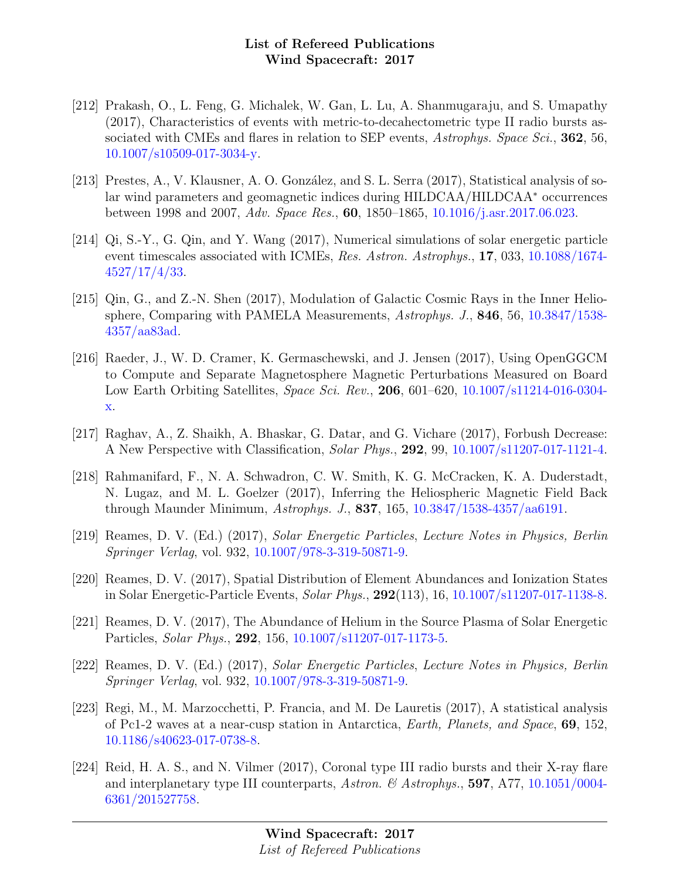- [212] Prakash, O., L. Feng, G. Michalek, W. Gan, L. Lu, A. Shanmugaraju, and S. Umapathy (2017), Characteristics of events with metric-to-decahectometric type II radio bursts associated with CMEs and flares in relation to SEP events, Astrophys. Space Sci., 362, 56, [10.1007/s10509-017-3034-y.](http://dx.doi.org/10.1007/s10509-017-3034-y)
- [213] Prestes, A., V. Klausner, A. O. González, and S. L. Serra (2017), Statistical analysis of solar wind parameters and geomagnetic indices during HILDCAA/HILDCAA<sup>∗</sup> occurrences between 1998 and 2007, Adv. Space Res., 60, 1850–1865, [10.1016/j.asr.2017.06.023.](http://dx.doi.org/10.1016/j.asr.2017.06.023)
- [214] Qi, S.-Y., G. Qin, and Y. Wang (2017), Numerical simulations of solar energetic particle event timescales associated with ICMEs, Res. Astron. Astrophys., 17, 033, [10.1088/1674-](http://dx.doi.org/10.1088/1674-4527/17/4/33) [4527/17/4/33.](http://dx.doi.org/10.1088/1674-4527/17/4/33)
- [215] Qin, G., and Z.-N. Shen (2017), Modulation of Galactic Cosmic Rays in the Inner Heliosphere, Comparing with PAMELA Measurements, Astrophys. J., 846, 56, [10.3847/1538-](http://dx.doi.org/10.3847/1538-4357/aa83ad) [4357/aa83ad.](http://dx.doi.org/10.3847/1538-4357/aa83ad)
- [216] Raeder, J., W. D. Cramer, K. Germaschewski, and J. Jensen (2017), Using OpenGGCM to Compute and Separate Magnetosphere Magnetic Perturbations Measured on Board Low Earth Orbiting Satellites, Space Sci. Rev., 206, 601–620, [10.1007/s11214-016-0304](http://dx.doi.org/10.1007/s11214-016-0304-x) [x.](http://dx.doi.org/10.1007/s11214-016-0304-x)
- [217] Raghav, A., Z. Shaikh, A. Bhaskar, G. Datar, and G. Vichare (2017), Forbush Decrease: A New Perspective with Classification, Solar Phys., 292, 99, [10.1007/s11207-017-1121-4.](http://dx.doi.org/10.1007/s11207-017-1121-4)
- [218] Rahmanifard, F., N. A. Schwadron, C. W. Smith, K. G. McCracken, K. A. Duderstadt, N. Lugaz, and M. L. Goelzer (2017), Inferring the Heliospheric Magnetic Field Back through Maunder Minimum, Astrophys. J., 837, 165, [10.3847/1538-4357/aa6191.](http://dx.doi.org/10.3847/1538-4357/aa6191)
- [219] Reames, D. V. (Ed.) (2017), Solar Energetic Particles, Lecture Notes in Physics, Berlin Springer Verlag, vol. 932, [10.1007/978-3-319-50871-9.](http://dx.doi.org/10.1007/978-3-319-50871-9)
- [220] Reames, D. V. (2017), Spatial Distribution of Element Abundances and Ionization States in Solar Energetic-Particle Events, Solar Phys., 292(113), 16, [10.1007/s11207-017-1138-8.](http://dx.doi.org/10.1007/s11207-017-1138-8)
- [221] Reames, D. V. (2017), The Abundance of Helium in the Source Plasma of Solar Energetic Particles, Solar Phys., 292, 156, [10.1007/s11207-017-1173-5.](http://dx.doi.org/10.1007/s11207-017-1173-5)
- [222] Reames, D. V. (Ed.) (2017), Solar Energetic Particles, Lecture Notes in Physics, Berlin Springer Verlag, vol. 932, [10.1007/978-3-319-50871-9.](http://dx.doi.org/10.1007/978-3-319-50871-9)
- [223] Regi, M., M. Marzocchetti, P. Francia, and M. De Lauretis (2017), A statistical analysis of Pc1-2 waves at a near-cusp station in Antarctica, Earth, Planets, and Space, 69, 152, [10.1186/s40623-017-0738-8.](http://dx.doi.org/10.1186/s40623-017-0738-8)
- [224] Reid, H. A. S., and N. Vilmer (2017), Coronal type III radio bursts and their X-ray flare and interplanetary type III counterparts, Astron. & Astrophys., 597, A77, [10.1051/0004-](http://dx.doi.org/10.1051/0004-6361/201527758) [6361/201527758.](http://dx.doi.org/10.1051/0004-6361/201527758)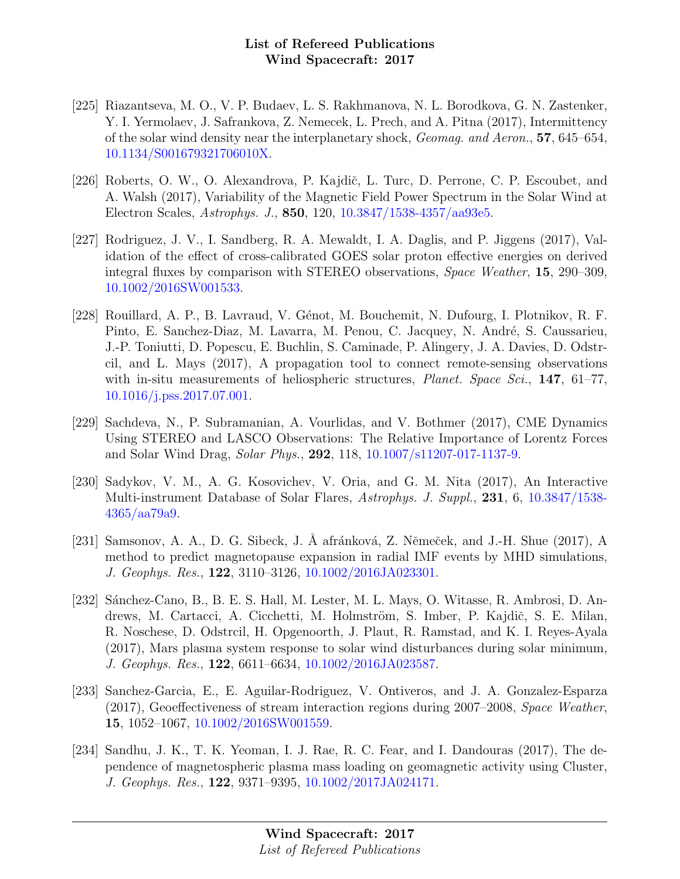- [225] Riazantseva, M. O., V. P. Budaev, L. S. Rakhmanova, N. L. Borodkova, G. N. Zastenker, Y. I. Yermolaev, J. Safrankova, Z. Nemecek, L. Prech, and A. Pitna (2017), Intermittency of the solar wind density near the interplanetary shock, Geomag. and Aeron., 57, 645–654, [10.1134/S001679321706010X.](http://dx.doi.org/10.1134/S001679321706010X)
- [226] Roberts, O. W., O. Alexandrova, P. Kajdič, L. Turc, D. Perrone, C. P. Escoubet, and A. Walsh (2017), Variability of the Magnetic Field Power Spectrum in the Solar Wind at Electron Scales, Astrophys. J., 850, 120, [10.3847/1538-4357/aa93e5.](http://dx.doi.org/10.3847/1538-4357/aa93e5)
- [227] Rodriguez, J. V., I. Sandberg, R. A. Mewaldt, I. A. Daglis, and P. Jiggens (2017), Validation of the effect of cross-calibrated GOES solar proton effective energies on derived integral fluxes by comparison with STEREO observations, Space Weather, 15, 290–309, [10.1002/2016SW001533.](http://dx.doi.org/10.1002/2016SW001533)
- [228] Rouillard, A. P., B. Lavraud, V. Génot, M. Bouchemit, N. Dufourg, I. Plotnikov, R. F. Pinto, E. Sanchez-Diaz, M. Lavarra, M. Penou, C. Jacquey, N. André, S. Caussarieu, J.-P. Toniutti, D. Popescu, E. Buchlin, S. Caminade, P. Alingery, J. A. Davies, D. Odstrcil, and L. Mays (2017), A propagation tool to connect remote-sensing observations with in-situ measurements of heliospheric structures, *Planet. Space Sci.*, 147, 61–77, [10.1016/j.pss.2017.07.001.](http://dx.doi.org/10.1016/j.pss.2017.07.001)
- [229] Sachdeva, N., P. Subramanian, A. Vourlidas, and V. Bothmer (2017), CME Dynamics Using STEREO and LASCO Observations: The Relative Importance of Lorentz Forces and Solar Wind Drag, Solar Phys., 292, 118, [10.1007/s11207-017-1137-9.](http://dx.doi.org/10.1007/s11207-017-1137-9)
- [230] Sadykov, V. M., A. G. Kosovichev, V. Oria, and G. M. Nita (2017), An Interactive Multi-instrument Database of Solar Flares, Astrophys. J. Suppl., 231, 6, [10.3847/1538-](http://dx.doi.org/10.3847/1538-4365/aa79a9) [4365/aa79a9.](http://dx.doi.org/10.3847/1538-4365/aa79a9)
- [231] Samsonov, A. A., D. G. Sibeck, J. Å afránková, Z. Němeček, and J.-H. Shue (2017), A method to predict magnetopause expansion in radial IMF events by MHD simulations, J. Geophys. Res., 122, 3110–3126, [10.1002/2016JA023301.](http://dx.doi.org/10.1002/2016JA023301)
- [232] Sánchez-Cano, B., B. E. S. Hall, M. Lester, M. L. Mays, O. Witasse, R. Ambrosi, D. Andrews, M. Cartacci, A. Cicchetti, M. Holmström, S. Imber, P. Kajdič, S. E. Milan, R. Noschese, D. Odstrcil, H. Opgenoorth, J. Plaut, R. Ramstad, and K. I. Reyes-Ayala (2017), Mars plasma system response to solar wind disturbances during solar minimum, J. Geophys. Res., 122, 6611–6634, [10.1002/2016JA023587.](http://dx.doi.org/10.1002/2016JA023587)
- [233] Sanchez-Garcia, E., E. Aguilar-Rodriguez, V. Ontiveros, and J. A. Gonzalez-Esparza (2017), Geoeffectiveness of stream interaction regions during 2007–2008, Space Weather, 15, 1052–1067, [10.1002/2016SW001559.](http://dx.doi.org/10.1002/2016SW001559)
- [234] Sandhu, J. K., T. K. Yeoman, I. J. Rae, R. C. Fear, and I. Dandouras (2017), The dependence of magnetospheric plasma mass loading on geomagnetic activity using Cluster, J. Geophys. Res., 122, 9371–9395, [10.1002/2017JA024171.](http://dx.doi.org/10.1002/2017JA024171)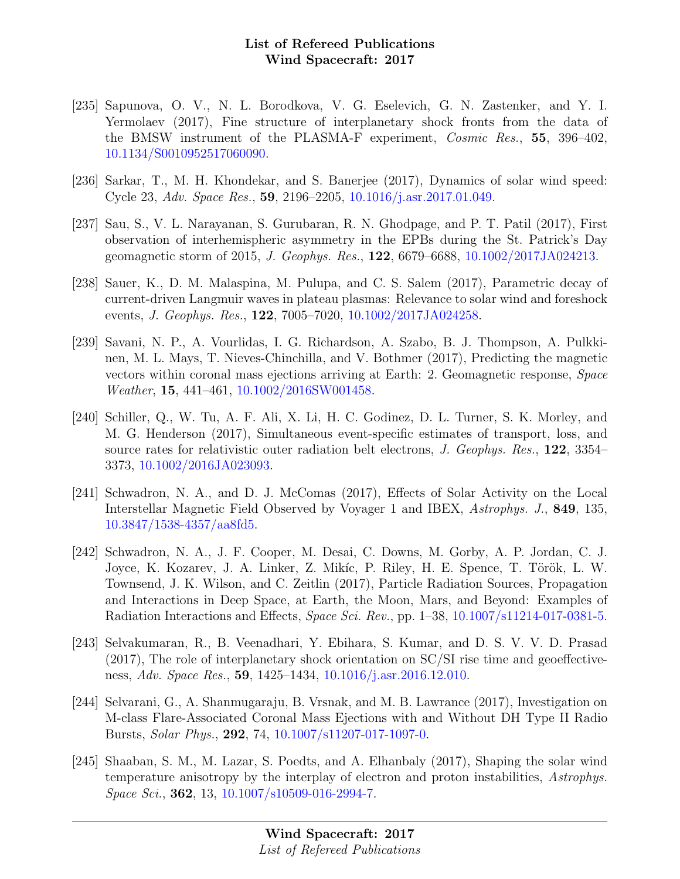- [235] Sapunova, O. V., N. L. Borodkova, V. G. Eselevich, G. N. Zastenker, and Y. I. Yermolaev (2017), Fine structure of interplanetary shock fronts from the data of the BMSW instrument of the PLASMA-F experiment, *Cosmic Res.*, 55, 396–402, [10.1134/S0010952517060090.](http://dx.doi.org/10.1134/S0010952517060090)
- [236] Sarkar, T., M. H. Khondekar, and S. Banerjee (2017), Dynamics of solar wind speed: Cycle 23, Adv. Space Res., 59, 2196–2205, [10.1016/j.asr.2017.01.049.](http://dx.doi.org/10.1016/j.asr.2017.01.049)
- [237] Sau, S., V. L. Narayanan, S. Gurubaran, R. N. Ghodpage, and P. T. Patil (2017), First observation of interhemispheric asymmetry in the EPBs during the St. Patrick's Day geomagnetic storm of 2015, J. Geophys. Res., 122, 6679–6688, [10.1002/2017JA024213.](http://dx.doi.org/10.1002/2017JA024213)
- [238] Sauer, K., D. M. Malaspina, M. Pulupa, and C. S. Salem (2017), Parametric decay of current-driven Langmuir waves in plateau plasmas: Relevance to solar wind and foreshock events, J. Geophys. Res., 122, 7005–7020, [10.1002/2017JA024258.](http://dx.doi.org/10.1002/2017JA024258)
- [239] Savani, N. P., A. Vourlidas, I. G. Richardson, A. Szabo, B. J. Thompson, A. Pulkkinen, M. L. Mays, T. Nieves-Chinchilla, and V. Bothmer (2017), Predicting the magnetic vectors within coronal mass ejections arriving at Earth: 2. Geomagnetic response, Space Weather, 15, 441–461, [10.1002/2016SW001458.](http://dx.doi.org/10.1002/2016SW001458)
- [240] Schiller, Q., W. Tu, A. F. Ali, X. Li, H. C. Godinez, D. L. Turner, S. K. Morley, and M. G. Henderson (2017), Simultaneous event-specific estimates of transport, loss, and source rates for relativistic outer radiation belt electrons, J. Geophys. Res., 122, 3354– 3373, [10.1002/2016JA023093.](http://dx.doi.org/10.1002/2016JA023093)
- [241] Schwadron, N. A., and D. J. McComas (2017), Effects of Solar Activity on the Local Interstellar Magnetic Field Observed by Voyager 1 and IBEX, Astrophys. J., 849, 135, [10.3847/1538-4357/aa8fd5.](http://dx.doi.org/10.3847/1538-4357/aa8fd5)
- [242] Schwadron, N. A., J. F. Cooper, M. Desai, C. Downs, M. Gorby, A. P. Jordan, C. J. Joyce, K. Kozarev, J. A. Linker, Z. Mikíc, P. Riley, H. E. Spence, T. Török, L. W. Townsend, J. K. Wilson, and C. Zeitlin (2017), Particle Radiation Sources, Propagation and Interactions in Deep Space, at Earth, the Moon, Mars, and Beyond: Examples of Radiation Interactions and Effects, Space Sci. Rev., pp. 1–38, [10.1007/s11214-017-0381-5.](http://dx.doi.org/10.1007/s11214-017-0381-5)
- [243] Selvakumaran, R., B. Veenadhari, Y. Ebihara, S. Kumar, and D. S. V. V. D. Prasad (2017), The role of interplanetary shock orientation on SC/SI rise time and geoeffectiveness, Adv. Space Res., 59, 1425–1434, [10.1016/j.asr.2016.12.010.](http://dx.doi.org/10.1016/j.asr.2016.12.010)
- [244] Selvarani, G., A. Shanmugaraju, B. Vrsnak, and M. B. Lawrance (2017), Investigation on M-class Flare-Associated Coronal Mass Ejections with and Without DH Type II Radio Bursts, Solar Phys., 292, 74, [10.1007/s11207-017-1097-0.](http://dx.doi.org/10.1007/s11207-017-1097-0)
- [245] Shaaban, S. M., M. Lazar, S. Poedts, and A. Elhanbaly (2017), Shaping the solar wind temperature anisotropy by the interplay of electron and proton instabilities, Astrophys. Space Sci., 362, 13, [10.1007/s10509-016-2994-7.](http://dx.doi.org/10.1007/s10509-016-2994-7)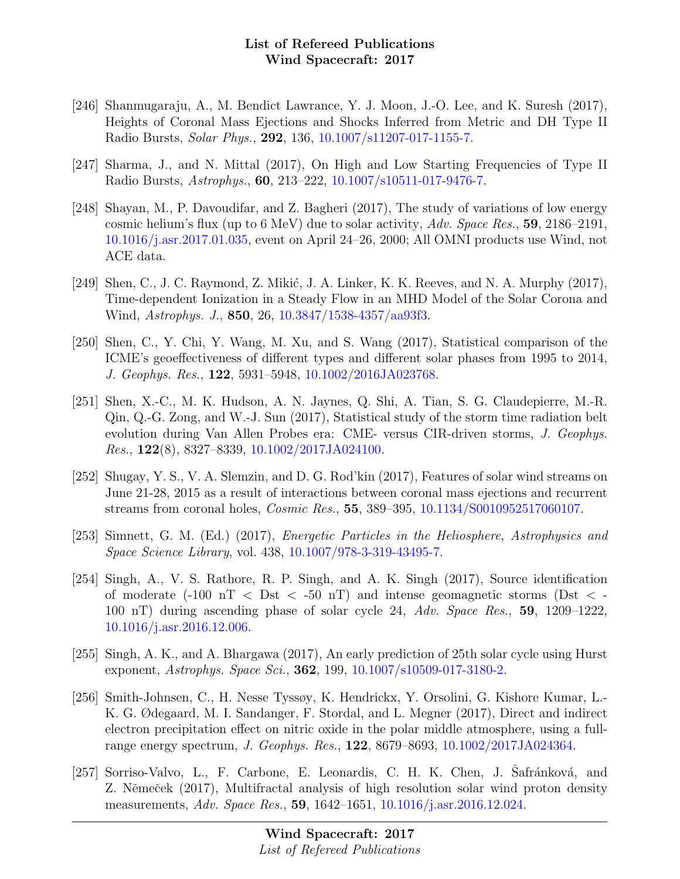- [246] Shanmugaraju, A., M. Bendict Lawrance, Y. J. Moon, J.-O. Lee, and K. Suresh (2017), Heights of Coronal Mass Ejections and Shocks Inferred from Metric and DH Type II Radio Bursts, Solar Phys., 292, 136, [10.1007/s11207-017-1155-7.](http://dx.doi.org/10.1007/s11207-017-1155-7)
- [247] Sharma, J., and N. Mittal (2017), On High and Low Starting Frequencies of Type II Radio Bursts, Astrophys., 60, 213–222, [10.1007/s10511-017-9476-7.](http://dx.doi.org/10.1007/s10511-017-9476-7)
- [248] Shayan, M., P. Davoudifar, and Z. Bagheri (2017), The study of variations of low energy cosmic helium's flux (up to 6 MeV) due to solar activity, Adv. Space Res., 59, 2186–2191, [10.1016/j.asr.2017.01.035,](http://dx.doi.org/10.1016/j.asr.2017.01.035) event on April 24–26, 2000; All OMNI products use Wind, not ACE data.
- [249] Shen, C., J. C. Raymond, Z. Mikić, J. A. Linker, K. K. Reeves, and N. A. Murphy  $(2017)$ , Time-dependent Ionization in a Steady Flow in an MHD Model of the Solar Corona and Wind, Astrophys. J., 850, 26, [10.3847/1538-4357/aa93f3.](http://dx.doi.org/10.3847/1538-4357/aa93f3)
- [250] Shen, C., Y. Chi, Y. Wang, M. Xu, and S. Wang (2017), Statistical comparison of the ICME's geoeffectiveness of different types and different solar phases from 1995 to 2014, J. Geophys. Res., 122, 5931–5948, [10.1002/2016JA023768.](http://dx.doi.org/10.1002/2016JA023768)
- [251] Shen, X.-C., M. K. Hudson, A. N. Jaynes, Q. Shi, A. Tian, S. G. Claudepierre, M.-R. Qin, Q.-G. Zong, and W.-J. Sun (2017), Statistical study of the storm time radiation belt evolution during Van Allen Probes era: CME- versus CIR-driven storms, J. Geophys. Res., 122(8), 8327–8339, [10.1002/2017JA024100.](http://dx.doi.org/10.1002/2017JA024100)
- [252] Shugay, Y. S., V. A. Slemzin, and D. G. Rod'kin (2017), Features of solar wind streams on June 21-28, 2015 as a result of interactions between coronal mass ejections and recurrent streams from coronal holes, Cosmic Res., 55, 389–395, [10.1134/S0010952517060107.](http://dx.doi.org/10.1134/S0010952517060107)
- [253] Simnett, G. M. (Ed.) (2017), Energetic Particles in the Heliosphere, Astrophysics and Space Science Library, vol. 438, [10.1007/978-3-319-43495-7.](http://dx.doi.org/10.1007/978-3-319-43495-7)
- [254] Singh, A., V. S. Rathore, R. P. Singh, and A. K. Singh (2017), Source identification of moderate  $(-100 \text{ nT} < \text{Dst} < -50 \text{ nT})$  and intense geomagnetic storms (Dst  $\lt$ 100 nT) during ascending phase of solar cycle 24, Adv. Space Res., 59, 1209–1222, [10.1016/j.asr.2016.12.006.](http://dx.doi.org/10.1016/j.asr.2016.12.006)
- [255] Singh, A. K., and A. Bhargawa (2017), An early prediction of 25th solar cycle using Hurst exponent, Astrophys. Space Sci., **362**, 199, [10.1007/s10509-017-3180-2.](http://dx.doi.org/10.1007/s10509-017-3180-2)
- [256] Smith-Johnsen, C., H. Nesse Tyssøy, K. Hendrickx, Y. Orsolini, G. Kishore Kumar, L.- K. G. Ødegaard, M. I. Sandanger, F. Stordal, and L. Megner (2017), Direct and indirect electron precipitation effect on nitric oxide in the polar middle atmosphere, using a fullrange energy spectrum, J. Geophys. Res., 122, 8679–8693, [10.1002/2017JA024364.](http://dx.doi.org/10.1002/2017JA024364)
- [257] Sorriso-Valvo, L., F. Carbone, E. Leonardis, C. H. K. Chen, J. Safránková, and Z. Němeček (2017), Multifractal analysis of high resolution solar wind proton density measurements, Adv. Space Res., 59, 1642–1651, [10.1016/j.asr.2016.12.024.](http://dx.doi.org/10.1016/j.asr.2016.12.024)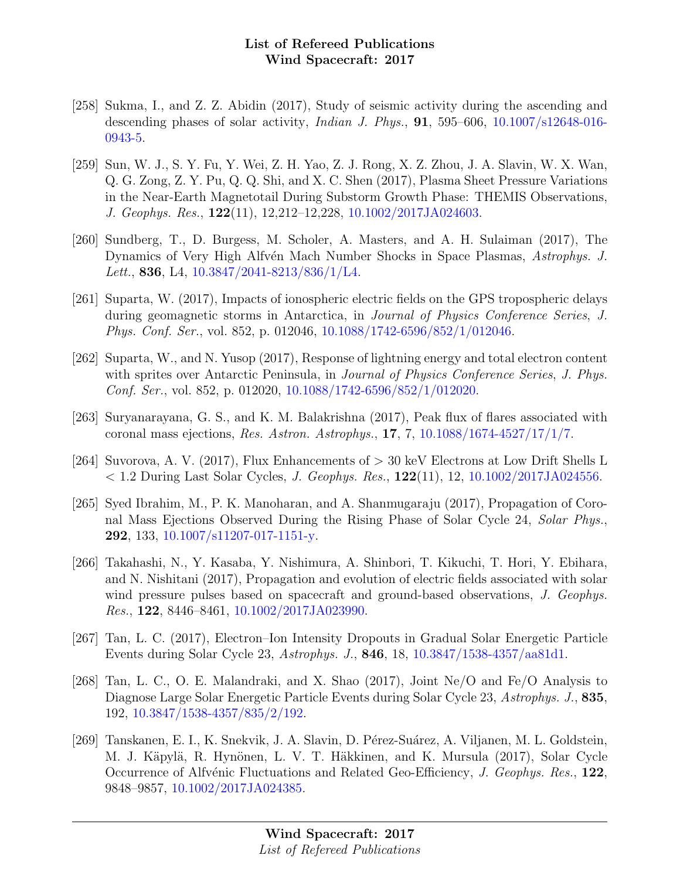- [258] Sukma, I., and Z. Z. Abidin (2017), Study of seismic activity during the ascending and descending phases of solar activity, *Indian J. Phys.*, **91**, 595–606,  $10.1007 \text{/s}12648-016$ -[0943-5.](http://dx.doi.org/10.1007/s12648-016-0943-5)
- [259] Sun, W. J., S. Y. Fu, Y. Wei, Z. H. Yao, Z. J. Rong, X. Z. Zhou, J. A. Slavin, W. X. Wan, Q. G. Zong, Z. Y. Pu, Q. Q. Shi, and X. C. Shen (2017), Plasma Sheet Pressure Variations in the Near-Earth Magnetotail During Substorm Growth Phase: THEMIS Observations, J. Geophys. Res., 122(11), 12,212–12,228, [10.1002/2017JA024603.](http://dx.doi.org/10.1002/2017JA024603)
- [260] Sundberg, T., D. Burgess, M. Scholer, A. Masters, and A. H. Sulaiman (2017), The Dynamics of Very High Alfvén Mach Number Shocks in Space Plasmas, Astrophys. J. Lett., 836, L4,  $10.3847/2041 - 8213/836/1/L4$ .
- [261] Suparta, W. (2017), Impacts of ionospheric electric fields on the GPS tropospheric delays during geomagnetic storms in Antarctica, in Journal of Physics Conference Series, J. Phys. Conf. Ser., vol. 852, p. 012046, [10.1088/1742-6596/852/1/012046.](http://dx.doi.org/10.1088/1742-6596/852/1/012046)
- [262] Suparta, W., and N. Yusop (2017), Response of lightning energy and total electron content with sprites over Antarctic Peninsula, in *Journal of Physics Conference Series, J. Phys.* Conf. Ser., vol. 852, p. 012020, [10.1088/1742-6596/852/1/012020.](http://dx.doi.org/10.1088/1742-6596/852/1/012020)
- [263] Suryanarayana, G. S., and K. M. Balakrishna (2017), Peak flux of flares associated with coronal mass ejections, *Res. Astron. Astrophys.*, **17**, 7, [10.1088/1674-4527/17/1/7.](http://dx.doi.org/10.1088/1674-4527/17/1/7)
- [264] Suvorova, A. V. (2017), Flux Enhancements of > 30 keV Electrons at Low Drift Shells L  $< 1.2$  During Last Solar Cycles, *J. Geophys. Res.*,  $122(11)$ ,  $12$ ,  $10.1002/2017JA024556$ .
- [265] Syed Ibrahim, M., P. K. Manoharan, and A. Shanmugaraju (2017), Propagation of Coronal Mass Ejections Observed During the Rising Phase of Solar Cycle 24, Solar Phys., 292, 133, [10.1007/s11207-017-1151-y.](http://dx.doi.org/10.1007/s11207-017-1151-y)
- [266] Takahashi, N., Y. Kasaba, Y. Nishimura, A. Shinbori, T. Kikuchi, T. Hori, Y. Ebihara, and N. Nishitani (2017), Propagation and evolution of electric fields associated with solar wind pressure pulses based on spacecraft and ground-based observations, J. Geophys. Res., 122, 8446–8461, [10.1002/2017JA023990.](http://dx.doi.org/10.1002/2017JA023990)
- [267] Tan, L. C. (2017), Electron–Ion Intensity Dropouts in Gradual Solar Energetic Particle Events during Solar Cycle 23, Astrophys. J., 846, 18, [10.3847/1538-4357/aa81d1.](http://dx.doi.org/10.3847/1538-4357/aa81d1)
- [268] Tan, L. C., O. E. Malandraki, and X. Shao (2017), Joint Ne/O and Fe/O Analysis to Diagnose Large Solar Energetic Particle Events during Solar Cycle 23, Astrophys. J., 835, 192, [10.3847/1538-4357/835/2/192.](http://dx.doi.org/10.3847/1538-4357/835/2/192)
- [269] Tanskanen, E. I., K. Snekvik, J. A. Slavin, D. P´erez-Su´arez, A. Viljanen, M. L. Goldstein, M. J. Käpylä, R. Hynönen, L. V. T. Häkkinen, and K. Mursula (2017), Solar Cycle Occurrence of Alfvénic Fluctuations and Related Geo-Efficiency, J. Geophys. Res., 122, 9848–9857, [10.1002/2017JA024385.](http://dx.doi.org/10.1002/2017JA024385)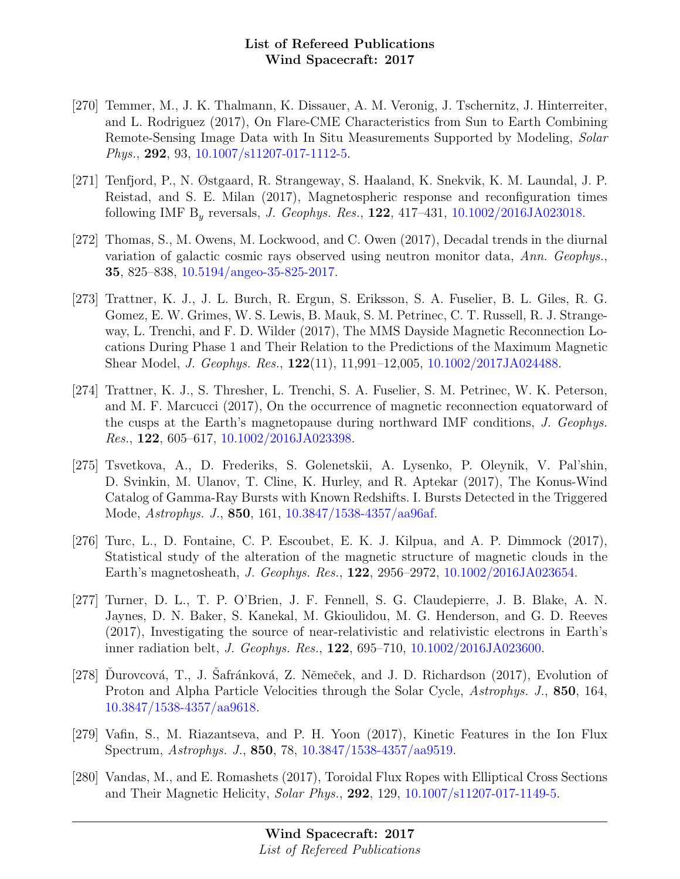- [270] Temmer, M., J. K. Thalmann, K. Dissauer, A. M. Veronig, J. Tschernitz, J. Hinterreiter, and L. Rodriguez (2017), On Flare-CME Characteristics from Sun to Earth Combining Remote-Sensing Image Data with In Situ Measurements Supported by Modeling, Solar Phys., 292, 93, [10.1007/s11207-017-1112-5.](http://dx.doi.org/10.1007/s11207-017-1112-5)
- [271] Tenfjord, P., N. Østgaard, R. Strangeway, S. Haaland, K. Snekvik, K. M. Laundal, J. P. Reistad, and S. E. Milan (2017), Magnetospheric response and reconfiguration times following IMF  $B_y$  reversals, *J. Geophys. Res.*, **122**, 417–431, [10.1002/2016JA023018.](http://dx.doi.org/10.1002/2016JA023018)
- [272] Thomas, S., M. Owens, M. Lockwood, and C. Owen (2017), Decadal trends in the diurnal variation of galactic cosmic rays observed using neutron monitor data, Ann. Geophys., 35, 825–838, [10.5194/angeo-35-825-2017.](http://dx.doi.org/10.5194/angeo-35-825-2017)
- [273] Trattner, K. J., J. L. Burch, R. Ergun, S. Eriksson, S. A. Fuselier, B. L. Giles, R. G. Gomez, E. W. Grimes, W. S. Lewis, B. Mauk, S. M. Petrinec, C. T. Russell, R. J. Strangeway, L. Trenchi, and F. D. Wilder (2017), The MMS Dayside Magnetic Reconnection Locations During Phase 1 and Their Relation to the Predictions of the Maximum Magnetic Shear Model, J. Geophys. Res., 122(11), 11,991–12,005, [10.1002/2017JA024488.](http://dx.doi.org/10.1002/2017JA024488)
- [274] Trattner, K. J., S. Thresher, L. Trenchi, S. A. Fuselier, S. M. Petrinec, W. K. Peterson, and M. F. Marcucci (2017), On the occurrence of magnetic reconnection equatorward of the cusps at the Earth's magnetopause during northward IMF conditions, J. Geophys. Res., 122, 605–617, [10.1002/2016JA023398.](http://dx.doi.org/10.1002/2016JA023398)
- [275] Tsvetkova, A., D. Frederiks, S. Golenetskii, A. Lysenko, P. Oleynik, V. Pal'shin, D. Svinkin, M. Ulanov, T. Cline, K. Hurley, and R. Aptekar (2017), The Konus-Wind Catalog of Gamma-Ray Bursts with Known Redshifts. I. Bursts Detected in the Triggered Mode, Astrophys. J., 850, 161, [10.3847/1538-4357/aa96af.](http://dx.doi.org/10.3847/1538-4357/aa96af)
- [276] Turc, L., D. Fontaine, C. P. Escoubet, E. K. J. Kilpua, and A. P. Dimmock (2017), Statistical study of the alteration of the magnetic structure of magnetic clouds in the Earth's magnetosheath, J. Geophys. Res., 122, 2956–2972, [10.1002/2016JA023654.](http://dx.doi.org/10.1002/2016JA023654)
- [277] Turner, D. L., T. P. O'Brien, J. F. Fennell, S. G. Claudepierre, J. B. Blake, A. N. Jaynes, D. N. Baker, S. Kanekal, M. Gkioulidou, M. G. Henderson, and G. D. Reeves (2017), Investigating the source of near-relativistic and relativistic electrons in Earth's inner radiation belt, J. Geophys. Res., 122, 695–710, [10.1002/2016JA023600.](http://dx.doi.org/10.1002/2016JA023600)
- [278] Durovcová, T., J. Safránková, Z. Němeček, and J. D. Richardson (2017), Evolution of Proton and Alpha Particle Velocities through the Solar Cycle, Astrophys. J., 850, 164, [10.3847/1538-4357/aa9618.](http://dx.doi.org/10.3847/1538-4357/aa9618)
- [279] Vafin, S., M. Riazantseva, and P. H. Yoon (2017), Kinetic Features in the Ion Flux Spectrum, Astrophys. J., 850, 78, [10.3847/1538-4357/aa9519.](http://dx.doi.org/10.3847/1538-4357/aa9519)
- [280] Vandas, M., and E. Romashets (2017), Toroidal Flux Ropes with Elliptical Cross Sections and Their Magnetic Helicity, Solar Phys., 292, 129, [10.1007/s11207-017-1149-5.](http://dx.doi.org/10.1007/s11207-017-1149-5)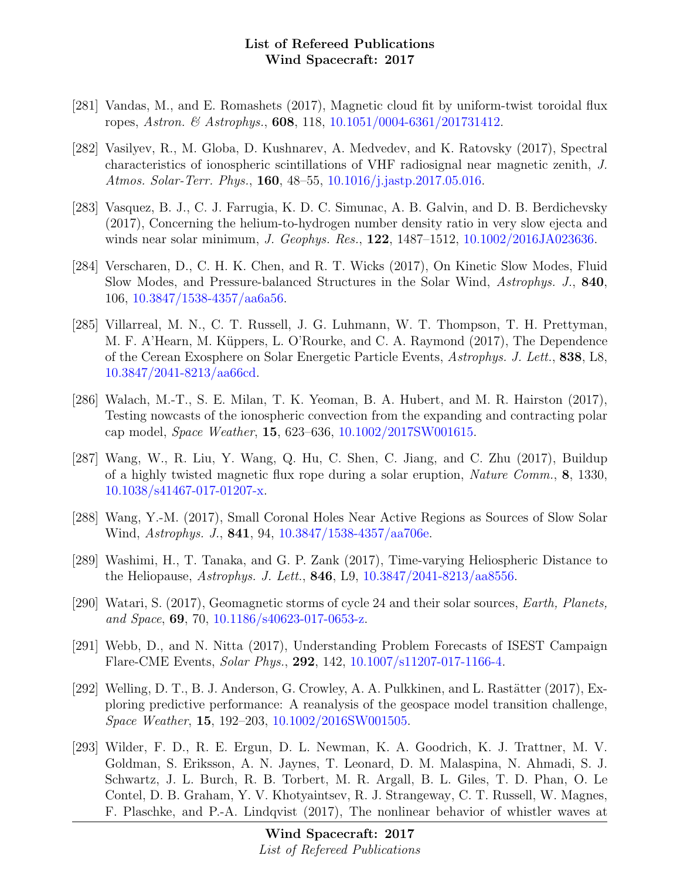- [281] Vandas, M., and E. Romashets (2017), Magnetic cloud fit by uniform-twist toroidal flux ropes, Astron. & Astrophys., 608, 118, [10.1051/0004-6361/201731412.](http://dx.doi.org/10.1051/0004-6361/201731412)
- [282] Vasilyev, R., M. Globa, D. Kushnarev, A. Medvedev, and K. Ratovsky (2017), Spectral characteristics of ionospheric scintillations of VHF radiosignal near magnetic zenith, J. Atmos. Solar-Terr. Phys., 160, 48–55, [10.1016/j.jastp.2017.05.016.](http://dx.doi.org/10.1016/j.jastp.2017.05.016)
- [283] Vasquez, B. J., C. J. Farrugia, K. D. C. Simunac, A. B. Galvin, and D. B. Berdichevsky (2017), Concerning the helium-to-hydrogen number density ratio in very slow ejecta and winds near solar minimum, J. Geophys. Res., **122**, 1487–1512, [10.1002/2016JA023636.](http://dx.doi.org/10.1002/2016JA023636)
- [284] Verscharen, D., C. H. K. Chen, and R. T. Wicks (2017), On Kinetic Slow Modes, Fluid Slow Modes, and Pressure-balanced Structures in the Solar Wind, Astrophys. J., 840, 106, [10.3847/1538-4357/aa6a56.](http://dx.doi.org/10.3847/1538-4357/aa6a56)
- [285] Villarreal, M. N., C. T. Russell, J. G. Luhmann, W. T. Thompson, T. H. Prettyman, M. F. A'Hearn, M. Küppers, L. O'Rourke, and C. A. Raymond (2017), The Dependence of the Cerean Exosphere on Solar Energetic Particle Events, Astrophys. J. Lett., 838, L8, [10.3847/2041-8213/aa66cd.](http://dx.doi.org/10.3847/2041-8213/aa66cd)
- [286] Walach, M.-T., S. E. Milan, T. K. Yeoman, B. A. Hubert, and M. R. Hairston (2017), Testing nowcasts of the ionospheric convection from the expanding and contracting polar cap model, Space Weather, 15, 623–636, [10.1002/2017SW001615.](http://dx.doi.org/10.1002/2017SW001615)
- [287] Wang, W., R. Liu, Y. Wang, Q. Hu, C. Shen, C. Jiang, and C. Zhu (2017), Buildup of a highly twisted magnetic flux rope during a solar eruption, Nature Comm., 8, 1330, [10.1038/s41467-017-01207-x.](http://dx.doi.org/10.1038/s41467-017-01207-x)
- [288] Wang, Y.-M. (2017), Small Coronal Holes Near Active Regions as Sources of Slow Solar Wind, Astrophys. J., 841, 94, [10.3847/1538-4357/aa706e.](http://dx.doi.org/10.3847/1538-4357/aa706e)
- [289] Washimi, H., T. Tanaka, and G. P. Zank (2017), Time-varying Heliospheric Distance to the Heliopause, Astrophys. J. Lett., 846, L9, [10.3847/2041-8213/aa8556.](http://dx.doi.org/10.3847/2041-8213/aa8556)
- [290] Watari, S. (2017), Geomagnetic storms of cycle 24 and their solar sources, Earth, Planets, and Space, 69, 70, [10.1186/s40623-017-0653-z.](http://dx.doi.org/10.1186/s40623-017-0653-z)
- [291] Webb, D., and N. Nitta (2017), Understanding Problem Forecasts of ISEST Campaign Flare-CME Events, Solar Phys., 292, 142, [10.1007/s11207-017-1166-4.](http://dx.doi.org/10.1007/s11207-017-1166-4)
- [292] Welling, D. T., B. J. Anderson, G. Crowley, A. A. Pulkkinen, and L. Rastätter (2017), Exploring predictive performance: A reanalysis of the geospace model transition challenge, Space Weather, 15, 192–203, [10.1002/2016SW001505.](http://dx.doi.org/10.1002/2016SW001505)
- [293] Wilder, F. D., R. E. Ergun, D. L. Newman, K. A. Goodrich, K. J. Trattner, M. V. Goldman, S. Eriksson, A. N. Jaynes, T. Leonard, D. M. Malaspina, N. Ahmadi, S. J. Schwartz, J. L. Burch, R. B. Torbert, M. R. Argall, B. L. Giles, T. D. Phan, O. Le Contel, D. B. Graham, Y. V. Khotyaintsev, R. J. Strangeway, C. T. Russell, W. Magnes, F. Plaschke, and P.-A. Lindqvist (2017), The nonlinear behavior of whistler waves at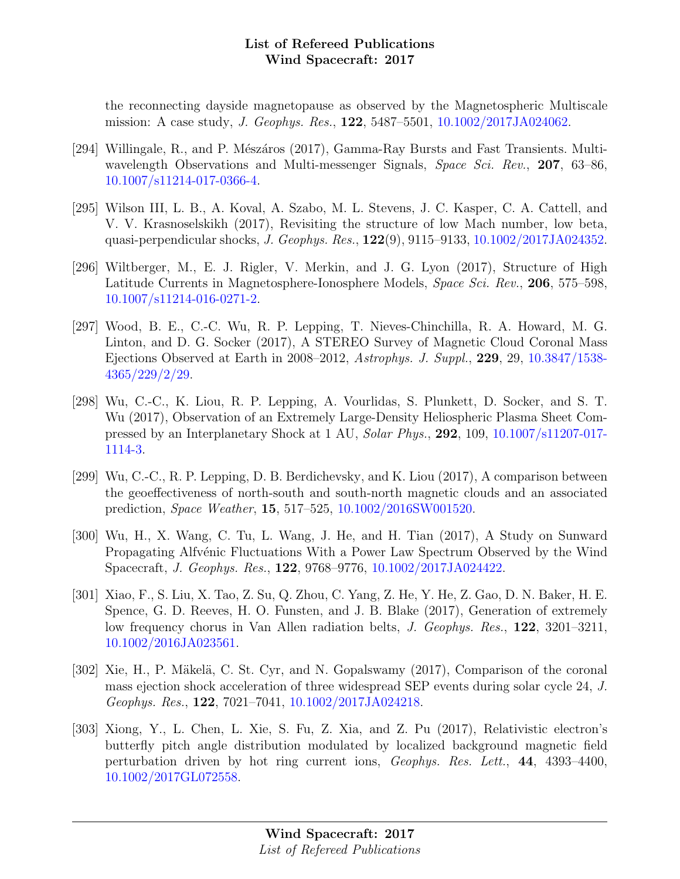the reconnecting dayside magnetopause as observed by the Magnetospheric Multiscale mission: A case study, J. Geophys. Res., 122, 5487–5501, [10.1002/2017JA024062.](http://dx.doi.org/10.1002/2017JA024062)

- [294] Willingale, R., and P. Mészáros (2017), Gamma-Ray Bursts and Fast Transients. Multiwavelength Observations and Multi-messenger Signals, Space Sci. Rev., 207, 63–86, [10.1007/s11214-017-0366-4.](http://dx.doi.org/10.1007/s11214-017-0366-4)
- [295] Wilson III, L. B., A. Koval, A. Szabo, M. L. Stevens, J. C. Kasper, C. A. Cattell, and V. V. Krasnoselskikh (2017), Revisiting the structure of low Mach number, low beta, quasi-perpendicular shocks, J. Geophys. Res., 122(9), 9115–9133, [10.1002/2017JA024352.](http://dx.doi.org/10.1002/2017JA024352)
- [296] Wiltberger, M., E. J. Rigler, V. Merkin, and J. G. Lyon (2017), Structure of High Latitude Currents in Magnetosphere-Ionosphere Models, Space Sci. Rev., 206, 575–598, [10.1007/s11214-016-0271-2.](http://dx.doi.org/10.1007/s11214-016-0271-2)
- [297] Wood, B. E., C.-C. Wu, R. P. Lepping, T. Nieves-Chinchilla, R. A. Howard, M. G. Linton, and D. G. Socker (2017), A STEREO Survey of Magnetic Cloud Coronal Mass Ejections Observed at Earth in 2008–2012, Astrophys. J. Suppl., 229, 29, [10.3847/1538-](http://dx.doi.org/10.3847/1538-4365/229/2/29) [4365/229/2/29.](http://dx.doi.org/10.3847/1538-4365/229/2/29)
- [298] Wu, C.-C., K. Liou, R. P. Lepping, A. Vourlidas, S. Plunkett, D. Socker, and S. T. Wu (2017), Observation of an Extremely Large-Density Heliospheric Plasma Sheet Compressed by an Interplanetary Shock at 1 AU, Solar Phys., 292, 109, [10.1007/s11207-017-](http://dx.doi.org/10.1007/s11207-017-1114-3) [1114-3.](http://dx.doi.org/10.1007/s11207-017-1114-3)
- [299] Wu, C.-C., R. P. Lepping, D. B. Berdichevsky, and K. Liou (2017), A comparison between the geoeffectiveness of north-south and south-north magnetic clouds and an associated prediction, Space Weather, 15, 517–525, [10.1002/2016SW001520.](http://dx.doi.org/10.1002/2016SW001520)
- [300] Wu, H., X. Wang, C. Tu, L. Wang, J. He, and H. Tian (2017), A Study on Sunward Propagating Alfvénic Fluctuations With a Power Law Spectrum Observed by the Wind Spacecraft, J. Geophys. Res., 122, 9768–9776, [10.1002/2017JA024422.](http://dx.doi.org/10.1002/2017JA024422)
- [301] Xiao, F., S. Liu, X. Tao, Z. Su, Q. Zhou, C. Yang, Z. He, Y. He, Z. Gao, D. N. Baker, H. E. Spence, G. D. Reeves, H. O. Funsten, and J. B. Blake (2017), Generation of extremely low frequency chorus in Van Allen radiation belts, J. Geophys. Res., 122, 3201–3211, [10.1002/2016JA023561.](http://dx.doi.org/10.1002/2016JA023561)
- [302] Xie, H., P. Mäkelä, C. St. Cyr, and N. Gopalswamy (2017), Comparison of the coronal mass ejection shock acceleration of three widespread SEP events during solar cycle 24, J. Geophys. Res., 122, 7021–7041, [10.1002/2017JA024218.](http://dx.doi.org/10.1002/2017JA024218)
- [303] Xiong, Y., L. Chen, L. Xie, S. Fu, Z. Xia, and Z. Pu (2017), Relativistic electron's butterfly pitch angle distribution modulated by localized background magnetic field perturbation driven by hot ring current ions, Geophys. Res. Lett., 44, 4393–4400, [10.1002/2017GL072558.](http://dx.doi.org/10.1002/2017GL072558)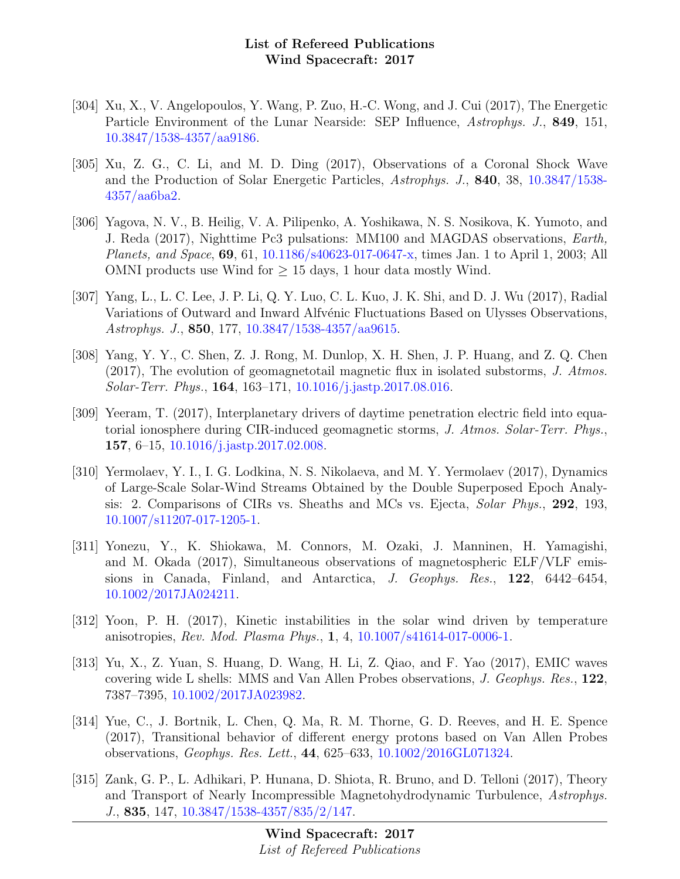- [304] Xu, X., V. Angelopoulos, Y. Wang, P. Zuo, H.-C. Wong, and J. Cui (2017), The Energetic Particle Environment of the Lunar Nearside: SEP Influence, Astrophys. J., 849, 151, [10.3847/1538-4357/aa9186.](http://dx.doi.org/10.3847/1538-4357/aa9186)
- [305] Xu, Z. G., C. Li, and M. D. Ding (2017), Observations of a Coronal Shock Wave and the Production of Solar Energetic Particles, Astrophys. J., 840, 38, [10.3847/1538-](http://dx.doi.org/10.3847/1538-4357/aa6ba2) [4357/aa6ba2.](http://dx.doi.org/10.3847/1538-4357/aa6ba2)
- [306] Yagova, N. V., B. Heilig, V. A. Pilipenko, A. Yoshikawa, N. S. Nosikova, K. Yumoto, and J. Reda (2017), Nighttime Pc3 pulsations: MM100 and MAGDAS observations, Earth, Planets, and Space, 69, 61, [10.1186/s40623-017-0647-x,](http://dx.doi.org/10.1186/s40623-017-0647-x) times Jan. 1 to April 1, 2003; All OMNI products use Wind for  $\geq 15$  days, 1 hour data mostly Wind.
- [307] Yang, L., L. C. Lee, J. P. Li, Q. Y. Luo, C. L. Kuo, J. K. Shi, and D. J. Wu (2017), Radial Variations of Outward and Inward Alfvénic Fluctuations Based on Ulysses Observations, Astrophys. J., 850, 177, [10.3847/1538-4357/aa9615.](http://dx.doi.org/10.3847/1538-4357/aa9615)
- [308] Yang, Y. Y., C. Shen, Z. J. Rong, M. Dunlop, X. H. Shen, J. P. Huang, and Z. Q. Chen (2017), The evolution of geomagnetotail magnetic flux in isolated substorms, J. Atmos. Solar-Terr. Phys., 164, 163–171, [10.1016/j.jastp.2017.08.016.](http://dx.doi.org/10.1016/j.jastp.2017.08.016)
- [309] Yeeram, T. (2017), Interplanetary drivers of daytime penetration electric field into equatorial ionosphere during CIR-induced geomagnetic storms, J. Atmos. Solar-Terr. Phys., 157, 6–15, [10.1016/j.jastp.2017.02.008.](http://dx.doi.org/10.1016/j.jastp.2017.02.008)
- [310] Yermolaev, Y. I., I. G. Lodkina, N. S. Nikolaeva, and M. Y. Yermolaev (2017), Dynamics of Large-Scale Solar-Wind Streams Obtained by the Double Superposed Epoch Analysis: 2. Comparisons of CIRs vs. Sheaths and MCs vs. Ejecta, Solar Phys., 292, 193, [10.1007/s11207-017-1205-1.](http://dx.doi.org/10.1007/s11207-017-1205-1)
- [311] Yonezu, Y., K. Shiokawa, M. Connors, M. Ozaki, J. Manninen, H. Yamagishi, and M. Okada (2017), Simultaneous observations of magnetospheric ELF/VLF emissions in Canada, Finland, and Antarctica, J. Geophys. Res., 122, 6442–6454, [10.1002/2017JA024211.](http://dx.doi.org/10.1002/2017JA024211)
- [312] Yoon, P. H. (2017), Kinetic instabilities in the solar wind driven by temperature anisotropies, Rev. Mod. Plasma Phys., 1, 4, [10.1007/s41614-017-0006-1.](http://dx.doi.org/10.1007/s41614-017-0006-1)
- [313] Yu, X., Z. Yuan, S. Huang, D. Wang, H. Li, Z. Qiao, and F. Yao (2017), EMIC waves covering wide L shells: MMS and Van Allen Probes observations, J. Geophys. Res., 122, 7387–7395, [10.1002/2017JA023982.](http://dx.doi.org/10.1002/2017JA023982)
- [314] Yue, C., J. Bortnik, L. Chen, Q. Ma, R. M. Thorne, G. D. Reeves, and H. E. Spence (2017), Transitional behavior of different energy protons based on Van Allen Probes observations, Geophys. Res. Lett., 44, 625–633, [10.1002/2016GL071324.](http://dx.doi.org/10.1002/2016GL071324)
- [315] Zank, G. P., L. Adhikari, P. Hunana, D. Shiota, R. Bruno, and D. Telloni (2017), Theory and Transport of Nearly Incompressible Magnetohydrodynamic Turbulence, Astrophys. J., 835, 147, [10.3847/1538-4357/835/2/147.](http://dx.doi.org/10.3847/1538-4357/835/2/147)